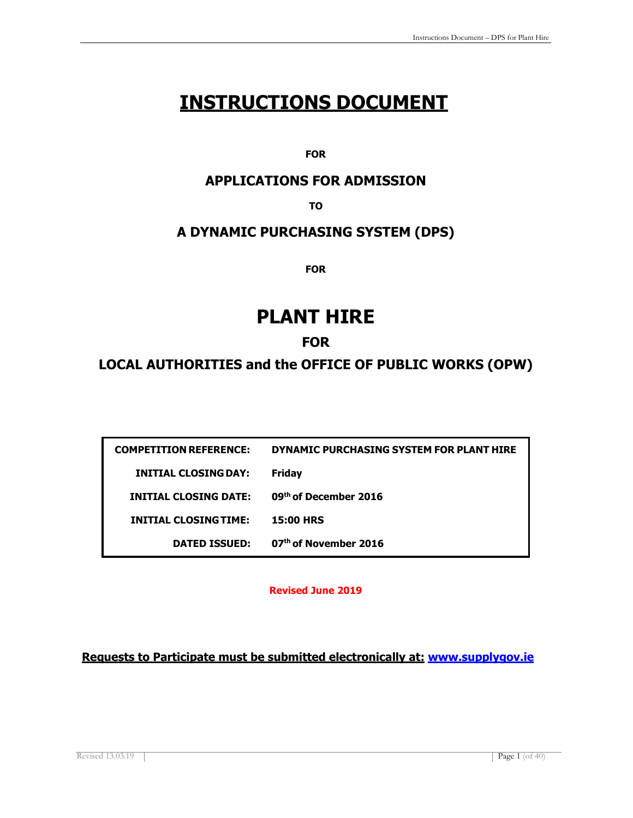# **INSTRUCTIONS DOCUMENT**

**FOR**

### **APPLICATIONS FOR ADMISSION**

**TO**

### **A DYNAMIC PURCHASING SYSTEM (DPS)**

**FOR**

# **PLANT HIRE**

### **FOR**

**LOCAL AUTHORITIES and the OFFICE OF PUBLIC WORKS (OPW)**

| <b>COMPETITION REFERENCE:</b> | DYNAMIC PURCHASING SYSTEM FOR PLANT HIRE |
|-------------------------------|------------------------------------------|
| INITIAL CLOSING DAY:          | <b>Friday</b>                            |
| <b>INITIAL CLOSING DATE:</b>  | 09th of December 2016                    |
| <b>INITIAL CLOSING TIME:</b>  | <b>15:00 HRS</b>                         |
| <b>DATED ISSUED:</b>          | 07th of November 2016                    |

**Revised June 2019**

**Requests to Participate must be submitted electronically at: [www.supplygov.ie](http://www.supplygov.ie/)**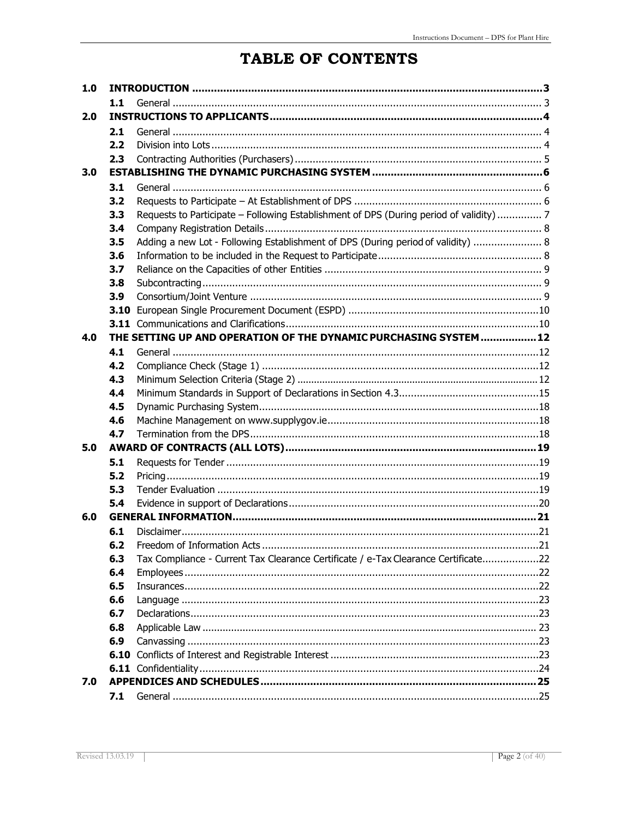# TABLE OF CONTENTS

| 1.0 |     |                                                                                         |  |
|-----|-----|-----------------------------------------------------------------------------------------|--|
|     | 1.1 |                                                                                         |  |
| 2.0 |     |                                                                                         |  |
|     | 2.1 |                                                                                         |  |
|     | 2.2 |                                                                                         |  |
|     | 2.3 |                                                                                         |  |
| 3.0 |     |                                                                                         |  |
|     | 3.1 |                                                                                         |  |
|     | 3.2 |                                                                                         |  |
|     | 3.3 | Requests to Participate - Following Establishment of DPS (During period of validity)  7 |  |
|     | 3.4 |                                                                                         |  |
|     | 3.5 | Adding a new Lot - Following Establishment of DPS (During period of validity)  8        |  |
|     | 3.6 |                                                                                         |  |
|     | 3.7 |                                                                                         |  |
|     | 3.8 |                                                                                         |  |
|     | 3.9 |                                                                                         |  |
|     |     |                                                                                         |  |
|     |     |                                                                                         |  |
| 4.0 |     | THE SETTING UP AND OPERATION OF THE DYNAMIC PURCHASING SYSTEM  12                       |  |
|     | 4.1 |                                                                                         |  |
|     | 4.2 |                                                                                         |  |
|     | 4.3 |                                                                                         |  |
|     | 4.4 |                                                                                         |  |
|     | 4.5 |                                                                                         |  |
|     | 4.6 |                                                                                         |  |
|     | 4.7 |                                                                                         |  |
| 5.0 |     |                                                                                         |  |
|     | 5.1 |                                                                                         |  |
|     | 5.2 |                                                                                         |  |
|     | 5.3 |                                                                                         |  |
|     | 5.4 |                                                                                         |  |
| 6.0 |     |                                                                                         |  |
|     | 6.1 |                                                                                         |  |
|     | 6.2 |                                                                                         |  |
|     | 6.3 | Tax Compliance - Current Tax Clearance Certificate / e-Tax Clearance Certificate22      |  |
|     | 6.4 |                                                                                         |  |
|     | 6.5 |                                                                                         |  |
|     | 6.6 |                                                                                         |  |
|     | 6.7 |                                                                                         |  |
|     | 6.8 |                                                                                         |  |
|     | 6.9 |                                                                                         |  |
|     |     |                                                                                         |  |
|     |     |                                                                                         |  |
| 7.0 |     |                                                                                         |  |
|     | 7.1 |                                                                                         |  |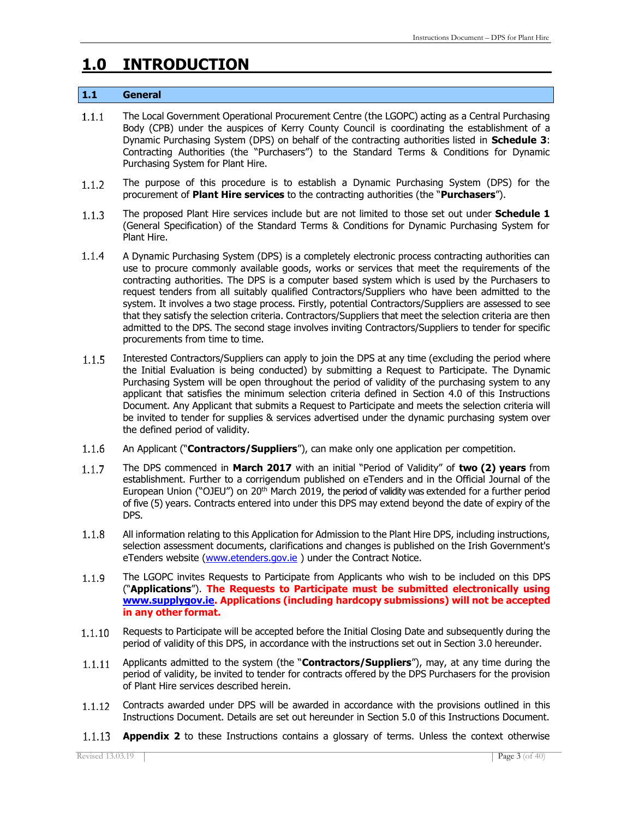## <span id="page-2-0"></span>**1.0 INTRODUCTION**

#### **1.1 General**

- $1.1.1$ The Local Government Operational Procurement Centre (the LGOPC) acting as a Central Purchasing Body (CPB) under the auspices of Kerry County Council is coordinating the establishment of a Dynamic Purchasing System (DPS) on behalf of the contracting authorities listed in **Schedule 3**: Contracting Authorities (the "Purchasers") to the Standard Terms & Conditions for Dynamic Purchasing System for Plant Hire.
- The purpose of this procedure is to establish a Dynamic Purchasing System (DPS) for the  $1.1.2$ procurement of **Plant Hire services** to the contracting authorities (the "**Purchasers**").
- The proposed Plant Hire services include but are not limited to those set out under **Schedule 1**   $1.1.3$ (General Specification) of the Standard Terms & Conditions for Dynamic Purchasing System for Plant Hire.
- $1.1.4$ A Dynamic Purchasing System (DPS) is a completely electronic process contracting authorities can use to procure commonly available goods, works or services that meet the requirements of the contracting authorities. The DPS is a computer based system which is used by the Purchasers to request tenders from all suitably qualified Contractors/Suppliers who have been admitted to the system. It involves a two stage process. Firstly, potential Contractors/Suppliers are assessed to see that they satisfy the selection criteria. Contractors/Suppliers that meet the selection criteria are then admitted to the DPS. The second stage involves inviting Contractors/Suppliers to tender for specific procurements from time to time.
- Interested Contractors/Suppliers can apply to join the DPS at any time (excluding the period where  $1.1.5$ the Initial Evaluation is being conducted) by submitting a Request to Participate. The Dynamic Purchasing System will be open throughout the period of validity of the purchasing system to any applicant that satisfies the minimum selection criteria defined in Section 4.0 of this Instructions Document. Any Applicant that submits a Request to Participate and meets the selection criteria will be invited to tender for supplies & services advertised under the dynamic purchasing system over the defined period of validity.
- $1.1.6$ An Applicant ("**Contractors/Suppliers**"), can make only one application per competition.
- The DPS commenced in **March 2017** with an initial "Period of Validity" of **two (2) years** from  $1.1.7$ establishment. Further to a corrigendum published on eTenders and in the Official Journal of the European Union ("OJEU") on 20<sup>th</sup> March 2019, the period of validity was extended for a further period of five (5) years. Contracts entered into under this DPS may extend beyond the date of expiry of the DPS.
- $1.1.8$ All information relating to this Application for Admission to the Plant Hire DPS, including instructions, selection assessment documents, clarifications and changes is published on the Irish Government's eTenders website [\(www.etenders.gov.ie](http://www.etenders.gov.ie/) ) under the Contract Notice.
- $1.1.9$ The LGOPC invites Requests to Participate from Applicants who wish to be included on this DPS ("**Applications**"). **The Requests to Participate must be submitted electronically using [www.supplygov.ie.](http://www.supplygov.ie/) Applications (including hardcopy submissions) will not be accepted in any other format.**
- Requests to Participate will be accepted before the Initial Closing Date and subsequently during the  $1.1.10$ period of validity of this DPS, in accordance with the instructions set out in Section 3.0 hereunder.
- Applicants admitted to the system (the "**Contractors/Suppliers**"), may, at any time during the  $1.1.11$ period of validity, be invited to tender for contracts offered by the DPS Purchasers for the provision of Plant Hire services described herein.
- Contracts awarded under DPS will be awarded in accordance with the provisions outlined in this  $1.1.12$ Instructions Document. Details are set out hereunder in Section 5.0 of this Instructions Document.
- **Appendix 2** to these Instructions contains a glossary of terms. Unless the context otherwise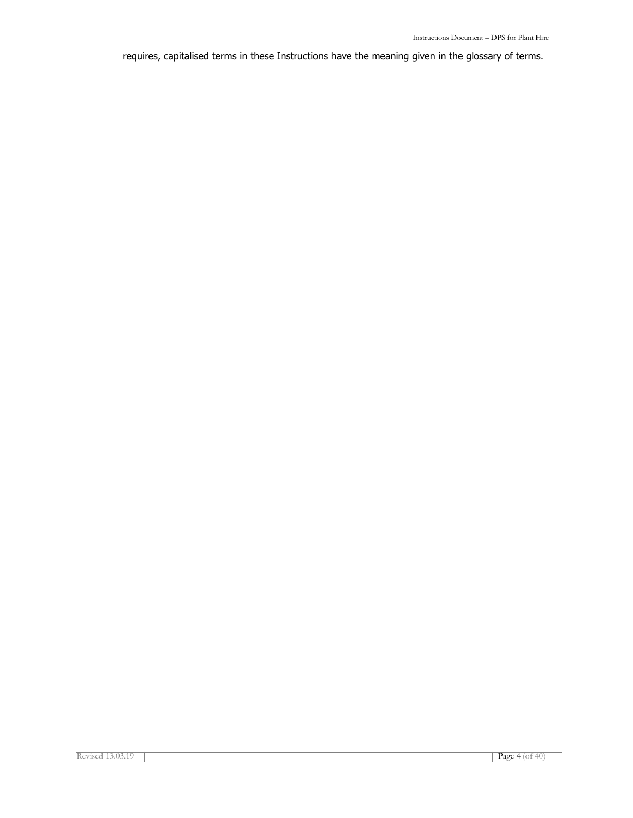requires, capitalised terms in these Instructions have the meaning given in the glossary of terms.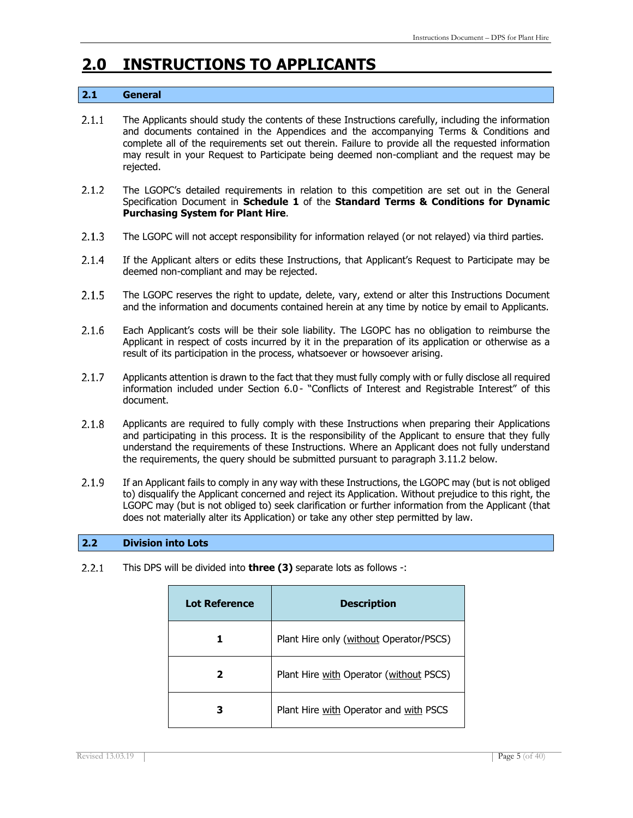# <span id="page-4-0"></span>**2.0 INSTRUCTIONS TO APPLICANTS**

### **2.1 General**

- $2.1.1$ The Applicants should study the contents of these Instructions carefully, including the information and documents contained in the Appendices and the accompanying Terms & Conditions and complete all of the requirements set out therein. Failure to provide all the requested information may result in your Request to Participate being deemed non-compliant and the request may be rejected.
- $2.1.2$ The LGOPC's detailed requirements in relation to this competition are set out in the General Specification Document in **Schedule 1** of the **Standard Terms & Conditions for Dynamic Purchasing System for Plant Hire**.
- $2.1.3$ The LGOPC will not accept responsibility for information relayed (or not relayed) via third parties.
- $2.1.4$ If the Applicant alters or edits these Instructions, that Applicant's Request to Participate may be deemed non-compliant and may be rejected.
- $2.1.5$ The LGOPC reserves the right to update, delete, vary, extend or alter this Instructions Document and the information and documents contained herein at any time by notice by email to Applicants.
- $2.1.6$ Each Applicant's costs will be their sole liability. The LGOPC has no obligation to reimburse the Applicant in respect of costs incurred by it in the preparation of its application or otherwise as a result of its participation in the process, whatsoever or howsoever arising.
- $2.1.7$ Applicants attention is drawn to the fact that they must fully comply with or fully disclose all required information included under Section 6.0 - "Conflicts of Interest and Registrable Interest" of this document.
- $2.1.8$ Applicants are required to fully comply with these Instructions when preparing their Applications and participating in this process. It is the responsibility of the Applicant to ensure that they fully understand the requirements of these Instructions. Where an Applicant does not fully understand the requirements, the query should be submitted pursuant to paragraph 3.11.2 below.
- $2.1.9$ If an Applicant fails to comply in any way with these Instructions, the LGOPC may (but is not obliged to) disqualify the Applicant concerned and reject its Application. Without prejudice to this right, the LGOPC may (but is not obliged to) seek clarification or further information from the Applicant (that does not materially alter its Application) or take any other step permitted by law.

#### **2.2 Division into Lots**

 $2.2.1$ This DPS will be divided into **three (3)** separate lots as follows -:

| <b>Lot Reference</b> | <b>Description</b>                      |
|----------------------|-----------------------------------------|
| 1                    | Plant Hire only (without Operator/PSCS) |
| 2                    | Plant Hire with Operator (without PSCS) |
| З                    | Plant Hire with Operator and with PSCS  |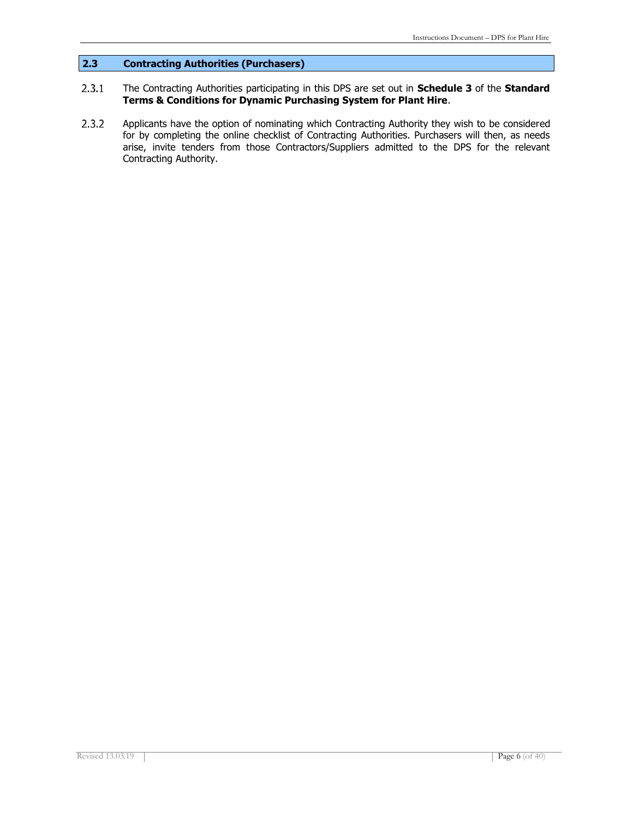### **2.3 Contracting Authorities (Purchasers)**

#### $2.3.1$ The Contracting Authorities participating in this DPS are set out in **Schedule 3** of the **Standard Terms & Conditions for Dynamic Purchasing System for Plant Hire**.

 $2.3.2$ Applicants have the option of nominating which Contracting Authority they wish to be considered for by completing the online checklist of Contracting Authorities. Purchasers will then, as needs arise, invite tenders from those Contractors/Suppliers admitted to the DPS for the relevant Contracting Authority.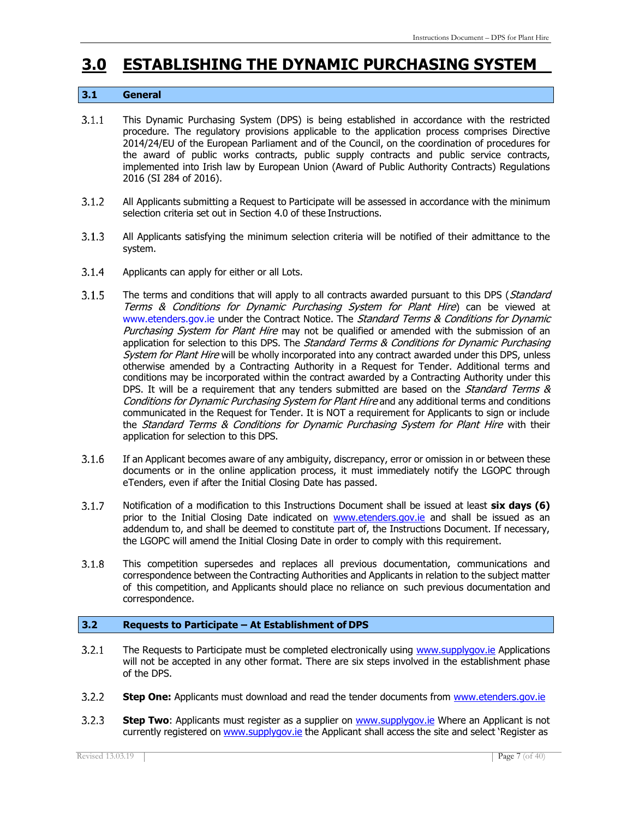## <span id="page-6-0"></span>**3.0 ESTABLISHING THE DYNAMIC PURCHASING SYSTEM**

#### **3.1 General**

- $3.1.1$ This Dynamic Purchasing System (DPS) is being established in accordance with the restricted procedure. The regulatory provisions applicable to the application process comprises Directive 2014/24/EU of the European Parliament and of the Council, on the coordination of procedures for the award of public works contracts, public supply contracts and public service contracts, implemented into Irish law by European Union (Award of Public Authority Contracts) Regulations 2016 (SI 284 of 2016).
- $3.1.2$ All Applicants submitting a Request to Participate will be assessed in accordance with the minimum selection criteria set out in Section 4.0 of these Instructions.
- $3.1.3$ All Applicants satisfying the minimum selection criteria will be notified of their admittance to the system.
- $3.1.4$ Applicants can apply for either or all Lots.
- $3.1.5$ The terms and conditions that will apply to all contracts awarded pursuant to this DPS (Standard Terms & Conditions for Dynamic Purchasing System for Plant Hire) can be viewed at [www.etenders.gov.ie](http://www.etenders.gov.ie/) under the Contract Notice. The Standard Terms & Conditions for Dynamic Purchasing System for Plant Hire may not be qualified or amended with the submission of an application for selection to this DPS. The Standard Terms & Conditions for Dynamic Purchasing System for Plant Hire will be wholly incorporated into any contract awarded under this DPS, unless otherwise amended by a Contracting Authority in a Request for Tender. Additional terms and conditions may be incorporated within the contract awarded by a Contracting Authority under this DPS. It will be a requirement that any tenders submitted are based on the *Standard Terms &* Conditions for Dynamic Purchasing System for Plant Hire and any additional terms and conditions communicated in the Request for Tender. It is NOT a requirement for Applicants to sign or include the *Standard Terms & Conditions for Dynamic Purchasing System for Plant Hire* with their application for selection to this DPS.
- $3.1.6$ If an Applicant becomes aware of any ambiguity, discrepancy, error or omission in or between these documents or in the online application process, it must immediately notify the LGOPC through eTenders, even if after the Initial Closing Date has passed.
- $3.1.7$ Notification of a modification to this Instructions Document shall be issued at least **six days (6)**  prior to the Initial Closing Date indicated on [www.etenders.gov.ie](http://www.etenders.gov.ie/) and shall be issued as an addendum to, and shall be deemed to constitute part of, the Instructions Document. If necessary, the LGOPC will amend the Initial Closing Date in order to comply with this requirement.
- $3.1.8$ This competition supersedes and replaces all previous documentation, communications and correspondence between the Contracting Authorities and Applicants in relation to the subject matter of this competition, and Applicants should place no reliance on such previous documentation and correspondence.

#### **3.2 Requests to Participate – At Establishment of DPS**

- The Requests to Participate must be completed electronically using [www.supplygov.ie](http://www.supplygov.ie/) Applications  $3.2.1$ will not be accepted in any other format. There are six steps involved in the establishment phase of the DPS.
- $3.2.2$ **Step One:** Applicants must download and read the tender documents from [www.etenders.gov.ie](http://www.etenders.gov.ie/)
- $3.2.3$ **Step Two:** Applicants must register as a supplier on www.supplygov.je Where an Applicant is not currently registered on [www.supplygov.ie](http://www.supplygov.ie/) the Applicant shall access the site and select 'Register as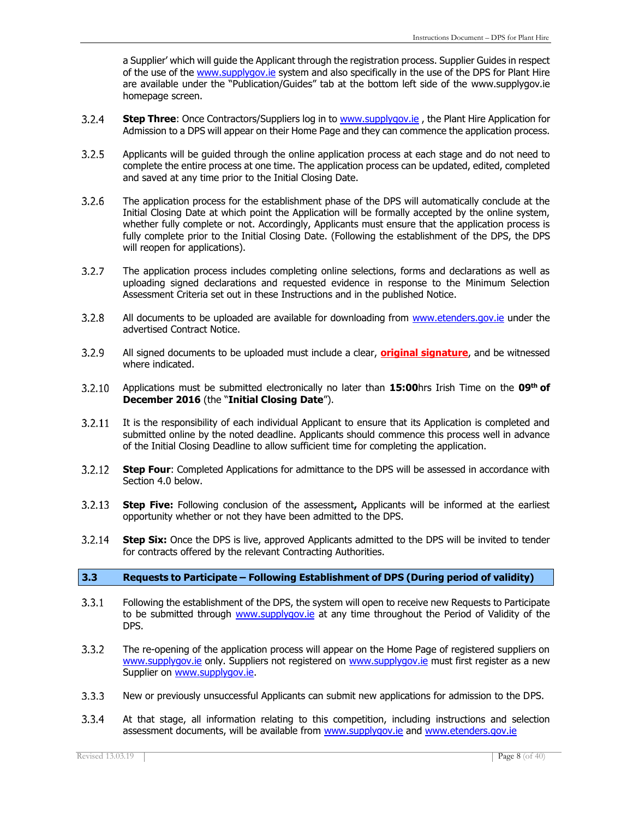a Supplier' which will guide the Applicant through the registration process. Supplier Guides in respect of the use of the [www.supplygov.ie](http://www.supplygov.ie/) system and also specifically in the use of the DPS for Plant Hire are available under the "Publication/Guides" tab at the bottom left side of the [www.supplygov.ie](http://www.supplygov.ie/)  homepage screen.

- $3.2.4$ **Step Three**: Once Contractors/Suppliers log in to [www.supplygov.ie](http://www.supplygov.ie/) , the Plant Hire Application for Admission to a DPS will appear on their Home Page and they can commence the application process.
- $3.2.5$ Applicants will be guided through the online application process at each stage and do not need to complete the entire process at one time. The application process can be updated, edited, completed and saved at any time prior to the Initial Closing Date.
- $3.2.6$ The application process for the establishment phase of the DPS will automatically conclude at the Initial Closing Date at which point the Application will be formally accepted by the online system, whether fully complete or not. Accordingly, Applicants must ensure that the application process is fully complete prior to the Initial Closing Date. (Following the establishment of the DPS, the DPS will reopen for applications).
- $3.2.7$ The application process includes completing online selections, forms and declarations as well as uploading signed declarations and requested evidence in response to the Minimum Selection Assessment Criteria set out in these Instructions and in the published Notice.
- $3.2.8$ All documents to be uploaded are available for downloading from [www.etenders.gov.ie](http://www.etenders.gov.ie/) under the advertised Contract Notice.
- $3.2.9$ All signed documents to be uploaded must include a clear, **original signature**, and be witnessed where indicated.
- $3.2.10$ Applications must be submitted electronically no later than **15:00**hrs Irish Time on the **09th of December 2016** (the "**Initial Closing Date**").
- $3.2.11$ It is the responsibility of each individual Applicant to ensure that its Application is completed and submitted online by the noted deadline. Applicants should commence this process well in advance of the Initial Closing Deadline to allow sufficient time for completing the application.
- **Step Four:** Completed Applications for admittance to the DPS will be assessed in accordance with  $3.2.12$ Section 4.0 below.
- $3.2.13$ **Step Five:** Following conclusion of the assessment**,** Applicants will be informed at the earliest opportunity whether or not they have been admitted to the DPS.
- $3.2.14$ **Step Six:** Once the DPS is live, approved Applicants admitted to the DPS will be invited to tender for contracts offered by the relevant Contracting Authorities.

#### **3.3 Requests to Participate – Following Establishment of DPS (During period of validity)**

- $3.3.1$ Following the establishment of the DPS, the system will open to receive new Requests to Participate to be submitted through [www.supplygov.ie](http://www.supplygov.ie/) at any time throughout the Period of Validity of the DPS.
- $3.3.2$ The re-opening of the application process will appear on the Home Page of registered suppliers on [www.supplygov.ie](http://www.supplygov.ie/) only. Suppliers not registered on [www.supplygov.ie](http://www.supplygov.ie/) must first register as a new Supplier on [www.supplygov.ie.](http://www.supplygov.ie/)
- $3.3.3$ New or previously unsuccessful Applicants can submit new applications for admission to the DPS.
- $3.3.4$ At that stage, all information relating to this competition, including instructions and selection assessment documents, will be available from [www.supplygov.ie](http://www.supplygov.ie/) and [www.etenders.gov.ie](http://www.etenders.gov.ie/)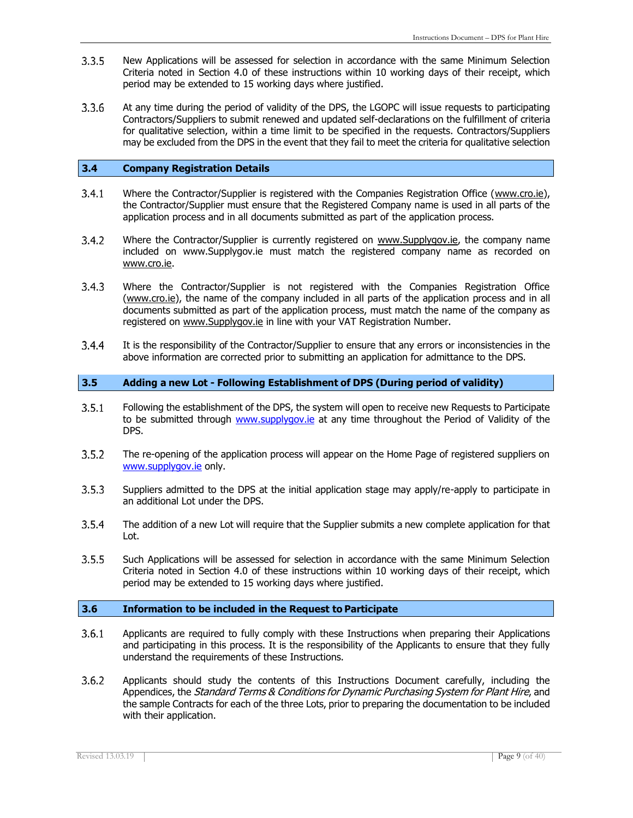- New Applications will be assessed for selection in accordance with the same Minimum Selection  $3.3.5$ Criteria noted in Section 4.0 of these instructions within 10 working days of their receipt, which period may be extended to 15 working days where justified.
- $3.3.6$ At any time during the period of validity of the DPS, the LGOPC will issue requests to participating Contractors/Suppliers to submit renewed and updated self-declarations on the fulfillment of criteria for qualitative selection, within a time limit to be specified in the requests. Contractors/Suppliers may be excluded from the DPS in the event that they fail to meet the criteria for qualitative selection

#### **3.4 Company Registration Details**

- $3.4.1$ Where the Contractor/Supplier is registered with the Companies Registration Office (www.cro.ie), the Contractor/Supplier must ensure that the Registered Company name is used in all parts of the application process and in all documents submitted as part of the application process.
- $3.4.2$ Where the Contractor/Supplier is currently registered on [www.Supplygov.ie,](http://www.supplygov.ie/) the company name included on [www.Supplygov.ie](http://www.supplygov.ie/) must match the registered company name as recorded on [www.cro.ie.](http://www.cro.ie/)
- $3.4.3$ Where the Contractor/Supplier is not registered with the Companies Registration Office (www.cro.ie), the name of the company included in all parts of the application process and in all documents submitted as part of the application process, must match the name of the company as registered on [www.Supplygov.ie](http://www.supplygov.ie/) in line with your VAT Registration Number.
- $3.4.4$ It is the responsibility of the Contractor/Supplier to ensure that any errors or inconsistencies in the above information are corrected prior to submitting an application for admittance to the DPS.

#### **3.5 Adding a new Lot - Following Establishment of DPS (During period of validity)**

- $3.5.1$ Following the establishment of the DPS, the system will open to receive new Requests to Participate to be submitted through [www.supplygov.ie](http://www.supplygov.ie/) at any time throughout the Period of Validity of the DPS.
- $3.5.2$ The re-opening of the application process will appear on the Home Page of registered suppliers on [www.supplygov.ie](http://www.supplygov.ie/) only.
- $3.5.3$ Suppliers admitted to the DPS at the initial application stage may apply/re-apply to participate in an additional Lot under the DPS.
- $3.5.4$ The addition of a new Lot will require that the Supplier submits a new complete application for that Lot.
- $3.5.5$ Such Applications will be assessed for selection in accordance with the same Minimum Selection Criteria noted in Section 4.0 of these instructions within 10 working days of their receipt, which period may be extended to 15 working days where justified.

#### **3.6 Information to be included in the Request to Participate**

- $3.6.1$ Applicants are required to fully comply with these Instructions when preparing their Applications and participating in this process. It is the responsibility of the Applicants to ensure that they fully understand the requirements of these Instructions.
- $3.6.2$ Applicants should study the contents of this Instructions Document carefully, including the Appendices, the Standard Terms & Conditions for Dynamic Purchasing System for Plant Hire, and the sample Contracts for each of the three Lots, prior to preparing the documentation to be included with their application.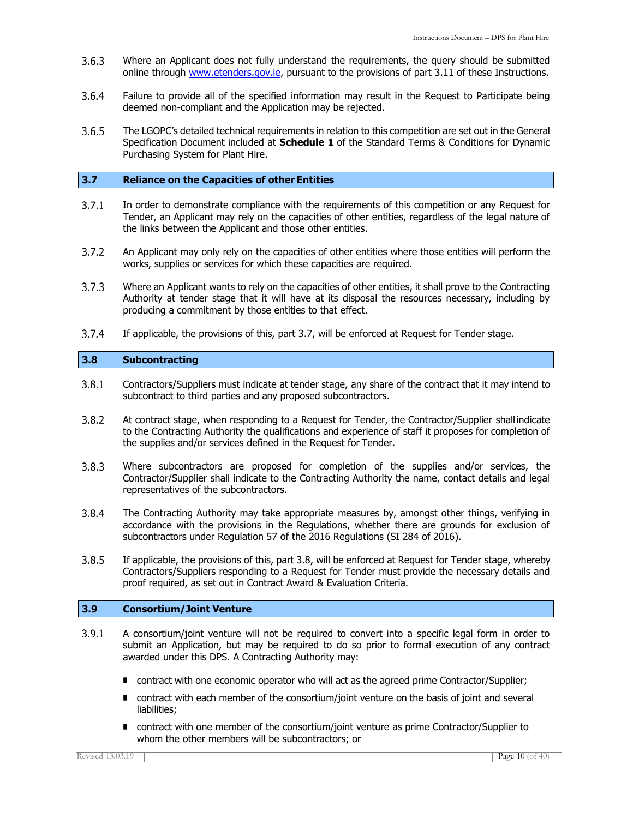- $3.6.3$ Where an Applicant does not fully understand the requirements, the query should be submitted online through [www.etenders.gov.ie, p](http://www.etenders.gov.ie/)ursuant to the provisions of part 3.11 of these Instructions.
- $3.6.4$ Failure to provide all of the specified information may result in the Request to Participate being deemed non-compliant and the Application may be rejected.
- $3.6.5$ The LGOPC's detailed technical requirements in relation to this competition are set out in the General Specification Document included at **Schedule 1** of the Standard Terms & Conditions for Dynamic Purchasing System for Plant Hire.

#### **3.7 Reliance on the Capacities of other Entities**

- $3.7.1$ In order to demonstrate compliance with the requirements of this competition or any Request for Tender, an Applicant may rely on the capacities of other entities, regardless of the legal nature of the links between the Applicant and those other entities.
- $3.7.2$ An Applicant may only rely on the capacities of other entities where those entities will perform the works, supplies or services for which these capacities are required.
- $3.7.3$ Where an Applicant wants to rely on the capacities of other entities, it shall prove to the Contracting Authority at tender stage that it will have at its disposal the resources necessary, including by producing a commitment by those entities to that effect.
- $3.7.4$ If applicable, the provisions of this, part 3.7, will be enforced at Request for Tender stage.

#### **3.8 Subcontracting**

- $3.8.1$ Contractors/Suppliers must indicate at tender stage, any share of the contract that it may intend to subcontract to third parties and any proposed subcontractors.
- $3.8.2$ At contract stage, when responding to a Request for Tender, the Contractor/Supplier shall indicate to the Contracting Authority the qualifications and experience of staff it proposes for completion of the supplies and/or services defined in the Request for Tender.
- Where subcontractors are proposed for completion of the supplies and/or services, the  $3.8.3$ Contractor/Supplier shall indicate to the Contracting Authority the name, contact details and legal representatives of the subcontractors.
- $3.8.4$ The Contracting Authority may take appropriate measures by, amongst other things, verifying in accordance with the provisions in the Regulations, whether there are grounds for exclusion of subcontractors under Regulation 57 of the 2016 Regulations (SI 284 of 2016).
- $3.8.5$ If applicable, the provisions of this, part 3.8, will be enforced at Request for Tender stage, whereby Contractors/Suppliers responding to a Request for Tender must provide the necessary details and proof required, as set out in Contract Award & Evaluation Criteria.

#### **3.9 Consortium/Joint Venture**

- $3.9.1$ A consortium/joint venture will not be required to convert into a specific legal form in order to submit an Application, but may be required to do so prior to formal execution of any contract awarded under this DPS. A Contracting Authority may:
	- contract with one economic operator who will act as the agreed prime Contractor/Supplier;
	- contract with each member of the consortium/joint venture on the basis of joint and several liabilities;
	- contract with one member of the consortium/joint venture as prime Contractor/Supplier to whom the other members will be subcontractors; or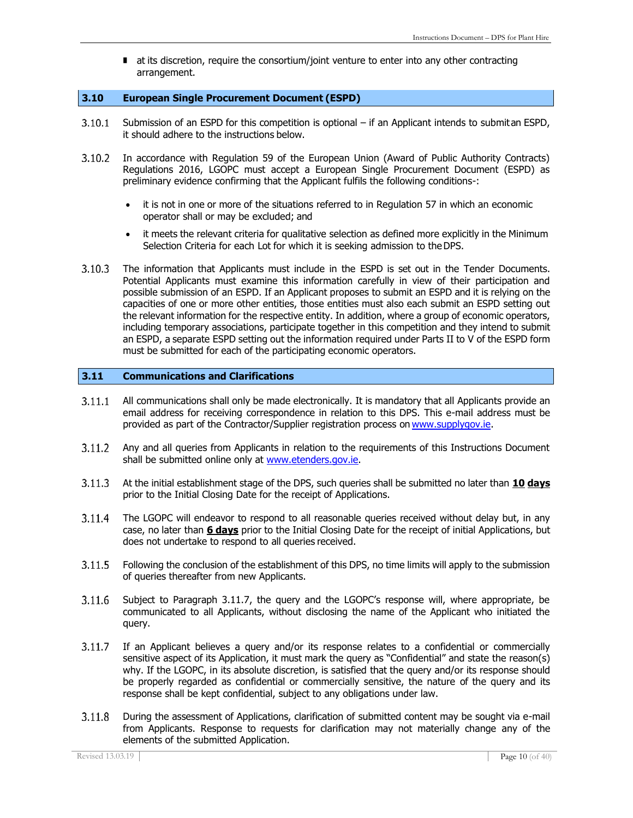■ at its discretion, require the consortium/joint venture to enter into any other contracting arrangement.

#### **3.10 European Single Procurement Document (ESPD)**

- $3.10.1$ Submission of an ESPD for this competition is optional – if an Applicant intends to submitan ESPD, it should adhere to the instructions below.
- $3.10.2$ In accordance with Regulation 59 of the European Union (Award of Public Authority Contracts) Regulations 2016, LGOPC must accept a European Single Procurement Document (ESPD) as preliminary evidence confirming that the Applicant fulfils the following conditions-:
	- it is not in one or more of the situations referred to in Regulation 57 in which an economic operator shall or may be excluded; and
	- it meets the relevant criteria for qualitative selection as defined more explicitly in the Minimum Selection Criteria for each Lot for which it is seeking admission to theDPS.
- $3.10.3$ The information that Applicants must include in the ESPD is set out in the Tender Documents. Potential Applicants must examine this information carefully in view of their participation and possible submission of an ESPD. If an Applicant proposes to submit an ESPD and it is relying on the capacities of one or more other entities, those entities must also each submit an ESPD setting out the relevant information for the respective entity. In addition, where a group of economic operators, including temporary associations, participate together in this competition and they intend to submit an ESPD, a separate ESPD setting out the information required under Parts II to V of the ESPD form must be submitted for each of the participating economic operators.

#### **3.11 Communications and Clarifications**

- $3.11.1$ All communications shall only be made electronically. It is mandatory that all Applicants provide an email address for receiving correspondence in relation to this DPS. This e-mail address must be provided as part of the Contractor/Supplier registration process on [www.supplygov.ie.](http://www.supplygov.ie/)
- $3.11.2$ Any and all queries from Applicants in relation to the requirements of this Instructions Document shall be submitted online only at [www.etenders.gov.ie.](http://www.etenders.gov.ie/)
- $3.11.3$ At the initial establishment stage of the DPS, such queries shall be submitted no later than **10 days** prior to the Initial Closing Date for the receipt of Applications.
- $3.11.4$ The LGOPC will endeavor to respond to all reasonable queries received without delay but, in any case, no later than **6 days** prior to the Initial Closing Date for the receipt of initial Applications, but does not undertake to respond to all queries received.
- $3.11.5$ Following the conclusion of the establishment of this DPS, no time limits will apply to the submission of queries thereafter from new Applicants.
- 3.11.6 Subject to Paragraph 3.11.7, the query and the LGOPC's response will, where appropriate, be communicated to all Applicants, without disclosing the name of the Applicant who initiated the query.
- If an Applicant believes a query and/or its response relates to a confidential or commercially  $3.11.7$ sensitive aspect of its Application, it must mark the query as "Confidential" and state the reason(s) why. If the LGOPC, in its absolute discretion, is satisfied that the query and/or its response should be properly regarded as confidential or commercially sensitive, the nature of the query and its response shall be kept confidential, subject to any obligations under law.
- $3.11.8$ During the assessment of Applications, clarification of submitted content may be sought via e-mail from Applicants. Response to requests for clarification may not materially change any of the elements of the submitted Application.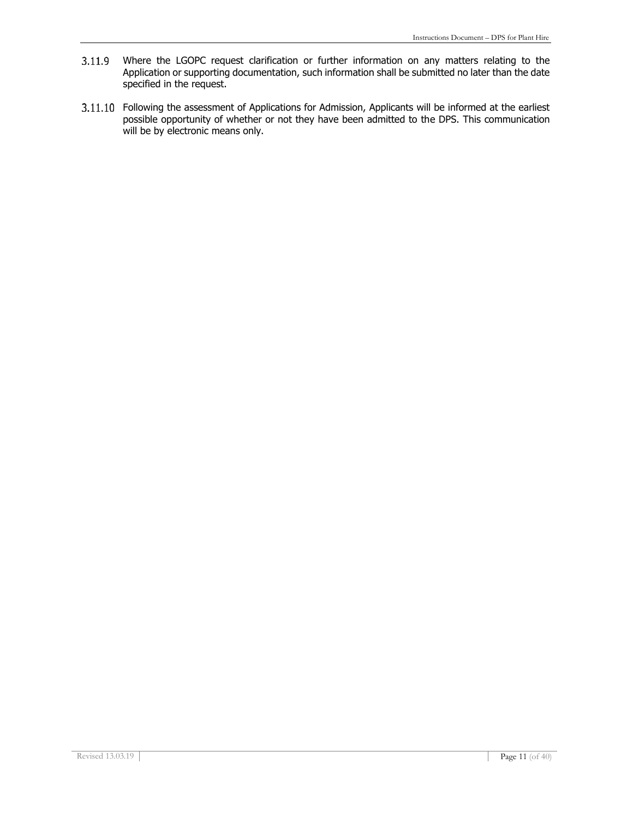- Where the LGOPC request clarification or further information on any matters relating to the Application or supporting documentation, such information shall be submitted no later than the date specified in the request.
- 3.11.10 Following the assessment of Applications for Admission, Applicants will be informed at the earliest possible opportunity of whether or not they have been admitted to the DPS. This communication will be by electronic means only.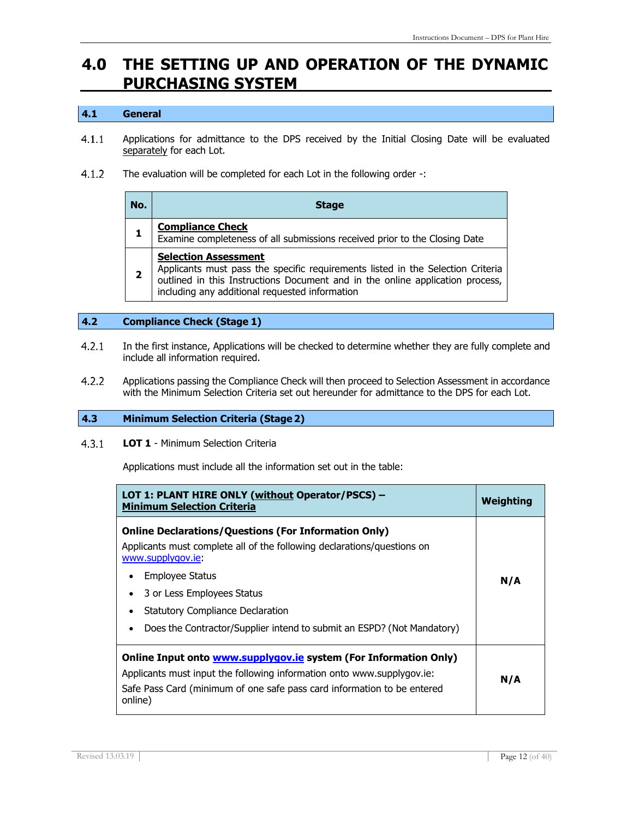## **4.0 THE SETTING UP AND OPERATION OF THE DYNAMIC PURCHASING SYSTEM**

#### **4.1 General**

- $4.1.1$ Applications for admittance to the DPS received by the Initial Closing Date will be evaluated separately for each Lot.
- $4.1.2$ The evaluation will be completed for each Lot in the following order -:

| No.          | <b>Stage</b>                                                                                                                                                                                                                                   |
|--------------|------------------------------------------------------------------------------------------------------------------------------------------------------------------------------------------------------------------------------------------------|
|              | <b>Compliance Check</b><br>Examine completeness of all submissions received prior to the Closing Date                                                                                                                                          |
| $\mathbf{2}$ | <b>Selection Assessment</b><br>Applicants must pass the specific requirements listed in the Selection Criteria outlined in this Instructions Document and in the online application process,<br>including any additional requested information |

#### **4.2 Compliance Check (Stage 1)**

- $4.2.1$ In the first instance, Applications will be checked to determine whether they are fully complete and include all information required.
- $4.2.2$ Applications passing the Compliance Check will then proceed to Selection Assessment in accordance with the Minimum Selection Criteria set out hereunder for admittance to the DPS for each Lot.

#### **4.3 Minimum Selection Criteria (Stage 2)**

#### $4.3.1$ **LOT 1** - Minimum Selection Criteria

Applications must include all the information set out in the table:

| LOT 1: PLANT HIRE ONLY (without Operator/PSCS) -<br><b>Minimum Selection Criteria</b>                                                                                                                                                                                                                                            | <b>Weighting</b> |
|----------------------------------------------------------------------------------------------------------------------------------------------------------------------------------------------------------------------------------------------------------------------------------------------------------------------------------|------------------|
| <b>Online Declarations/Questions (For Information Only)</b><br>Applicants must complete all of the following declarations/guestions on<br>www.supplygov.ie<br>Employee Status<br>3 or Less Employees Status<br><b>Statutory Compliance Declaration</b><br>Does the Contractor/Supplier intend to submit an ESPD? (Not Mandatory) | N/A              |
| Online Input onto <b>www.supplygov.ie</b> system (For Information Only)<br>Applicants must input the following information onto www.supplygov.ie:<br>Safe Pass Card (minimum of one safe pass card information to be entered<br>online)                                                                                          | N/A              |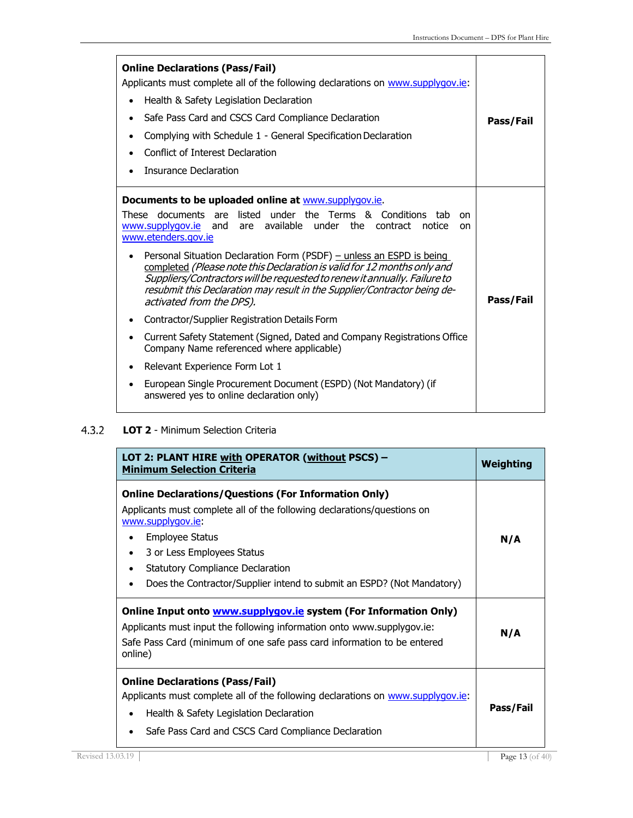| <b>Online Declarations (Pass/Fail)</b><br>Applicants must complete all of the following declarations on www.supplygov.ie:<br>Health & Safety Legislation Declaration<br>$\bullet$<br>Safe Pass Card and CSCS Card Compliance Declaration<br>Complying with Schedule 1 - General Specification Declaration<br>Conflict of Interest Declaration<br><b>Insurance Declaration</b>                                                                                                                                                                                                                                                                                                                                                                                                                                       | Pass/Fail |
|---------------------------------------------------------------------------------------------------------------------------------------------------------------------------------------------------------------------------------------------------------------------------------------------------------------------------------------------------------------------------------------------------------------------------------------------------------------------------------------------------------------------------------------------------------------------------------------------------------------------------------------------------------------------------------------------------------------------------------------------------------------------------------------------------------------------|-----------|
| Documents to be uploaded online at www.supplygov.ie.<br>These documents are listed under the Terms & Conditions tab<br><sub>on</sub><br>www.supplygov.ie and are available under the contract notice<br><b>on</b><br>www.etenders.gov.ie<br>Personal Situation Declaration Form (PSDF) - unless an ESPD is being<br>completed (Please note this Declaration is valid for 12 months only and<br>Suppliers/Contractors will be requested to renew it annually. Failure to<br>resubmit this Declaration may result in the Supplier/Contractor being de-<br>activated from the DPS).<br>Contractor/Supplier Registration Details Form<br>٠<br>Current Safety Statement (Signed, Dated and Company Registrations Office<br>$\bullet$<br>Company Name referenced where applicable)<br>Relevant Experience Form Lot 1<br>٠ | Pass/Fail |
| European Single Procurement Document (ESPD) (Not Mandatory) (if<br>$\bullet$<br>answered yes to online declaration only)                                                                                                                                                                                                                                                                                                                                                                                                                                                                                                                                                                                                                                                                                            |           |

#### $4.3.2$ **LOT 2** - Minimum Selection Criteria

| LOT 2: PLANT HIRE with OPERATOR (without PSCS) -<br><b>Minimum Selection Criteria</b>                                                                                                                                                                                                                                                                     | <b>Weighting</b> |
|-----------------------------------------------------------------------------------------------------------------------------------------------------------------------------------------------------------------------------------------------------------------------------------------------------------------------------------------------------------|------------------|
| <b>Online Declarations/Questions (For Information Only)</b><br>Applicants must complete all of the following declarations/questions on<br>www.supplygov.ie<br><b>Employee Status</b><br>٠<br>3 or Less Employees Status<br>$\bullet$<br><b>Statutory Compliance Declaration</b><br>Does the Contractor/Supplier intend to submit an ESPD? (Not Mandatory) | N/A              |
| Online Input onto <b>www.supplygov.ie</b> system (For Information Only)<br>Applicants must input the following information onto www.supplygov.ie:<br>Safe Pass Card (minimum of one safe pass card information to be entered<br>online)                                                                                                                   | N/A              |
| <b>Online Declarations (Pass/Fail)</b><br>Applicants must complete all of the following declarations on www.supplygov.ie:<br>Health & Safety Legislation Declaration<br>$\bullet$<br>Safe Pass Card and CSCS Card Compliance Declaration                                                                                                                  | Pass/Fail        |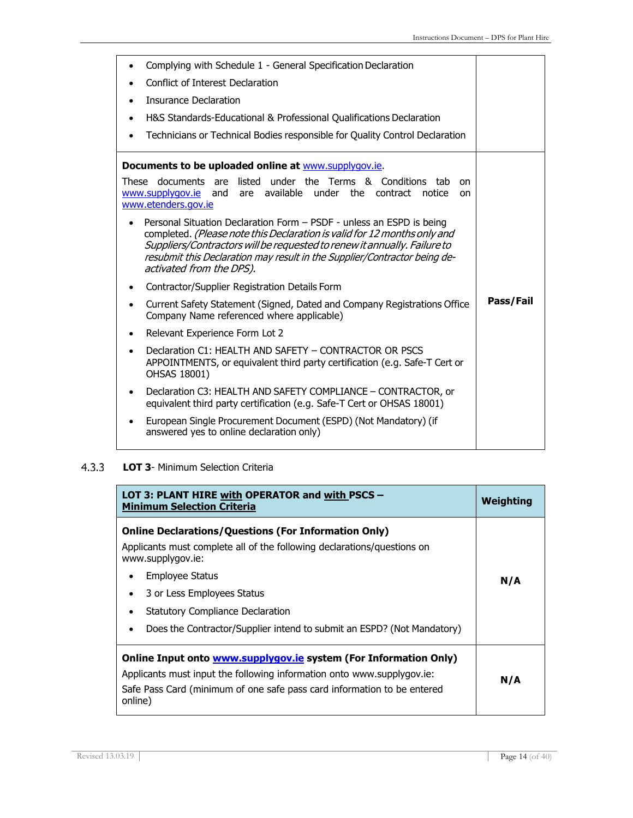| Complying with Schedule 1 - General Specification Declaration                                                                                                                                                                                                                                                                         |           |
|---------------------------------------------------------------------------------------------------------------------------------------------------------------------------------------------------------------------------------------------------------------------------------------------------------------------------------------|-----------|
| <b>Conflict of Interest Declaration</b>                                                                                                                                                                                                                                                                                               |           |
| <b>Insurance Declaration</b>                                                                                                                                                                                                                                                                                                          |           |
| H&S Standards-Educational & Professional Qualifications Declaration<br>٠                                                                                                                                                                                                                                                              |           |
| Technicians or Technical Bodies responsible for Quality Control Declaration<br>$\bullet$                                                                                                                                                                                                                                              |           |
| Documents to be uploaded online at www.supplygov.ie.                                                                                                                                                                                                                                                                                  |           |
| These documents are listed under the Terms & Conditions<br>tab<br>on<br>www.supplygov.ie and are available under the contract notice<br>on.<br>www.etenders.gov.ie                                                                                                                                                                    |           |
| Personal Situation Declaration Form - PSDF - unless an ESPD is being<br>completed. (Please note this Declaration is valid for 12 months only and<br>Suppliers/Contractors will be requested to renew it annually. Failure to<br>resubmit this Declaration may result in the Supplier/Contractor being de-<br>activated from the DPS). |           |
| Contractor/Supplier Registration Details Form<br>٠                                                                                                                                                                                                                                                                                    |           |
| Current Safety Statement (Signed, Dated and Company Registrations Office<br>$\bullet$<br>Company Name referenced where applicable)                                                                                                                                                                                                    | Pass/Fail |
| Relevant Experience Form Lot 2                                                                                                                                                                                                                                                                                                        |           |
| Declaration C1: HEALTH AND SAFETY - CONTRACTOR OR PSCS<br>APPOINTMENTS, or equivalent third party certification (e.g. Safe-T Cert or<br>OHSAS 18001)                                                                                                                                                                                  |           |
| Declaration C3: HEALTH AND SAFETY COMPLIANCE - CONTRACTOR, or<br>equivalent third party certification (e.g. Safe-T Cert or OHSAS 18001)                                                                                                                                                                                               |           |
| European Single Procurement Document (ESPD) (Not Mandatory) (if<br>٠<br>answered yes to online declaration only)                                                                                                                                                                                                                      |           |

#### $4.3.3$ **LOT 3**- Minimum Selection Criteria

| LOT 3: PLANT HIRE with OPERATOR and with PSCS -<br><b>Minimum Selection Criteria</b>                                                                                                                                                                                                                                                                | Weighting |
|-----------------------------------------------------------------------------------------------------------------------------------------------------------------------------------------------------------------------------------------------------------------------------------------------------------------------------------------------------|-----------|
| <b>Online Declarations/Questions (For Information Only)</b><br>Applicants must complete all of the following declarations/guestions on<br>www.supplygov.ie:<br>Employee Status<br>$\bullet$<br>3 or Less Employees Status<br><b>Statutory Compliance Declaration</b><br>Does the Contractor/Supplier intend to submit an ESPD? (Not Mandatory)<br>٠ | N/A       |
| Online Input onto <b>www.supplygov.ie system</b> (For Information Only)<br>Applicants must input the following information onto www.supplygov.ie:<br>Safe Pass Card (minimum of one safe pass card information to be entered<br>online)                                                                                                             | N/A       |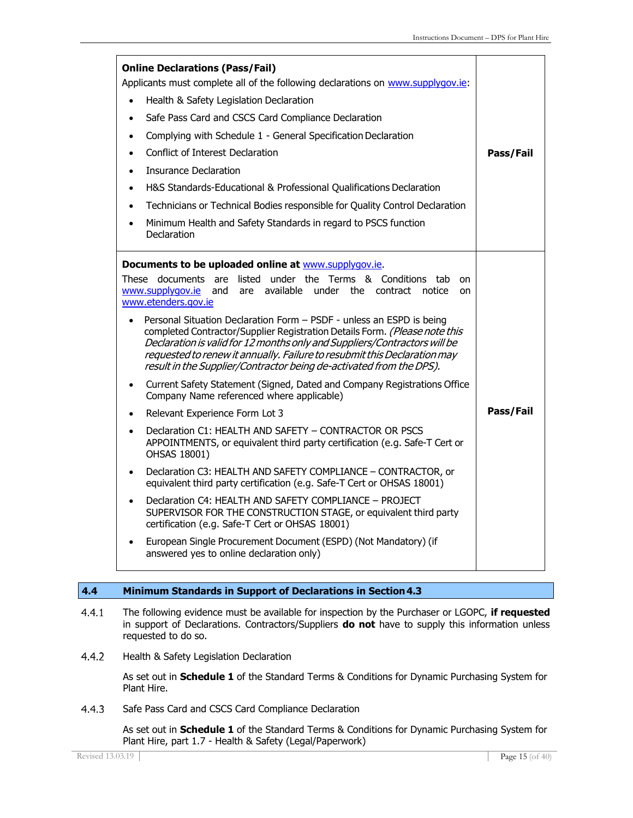| <b>Online Declarations (Pass/Fail)</b><br>Applicants must complete all of the following declarations on www.supplygov.ie:<br>Health & Safety Legislation Declaration<br>$\bullet$<br>Safe Pass Card and CSCS Card Compliance Declaration<br>$\bullet$<br>Complying with Schedule 1 - General Specification Declaration<br>Conflict of Interest Declaration<br>Insurance Declaration<br>H&S Standards-Educational & Professional Qualifications Declaration<br>Technicians or Technical Bodies responsible for Quality Control Declaration<br>Minimum Health and Safety Standards in regard to PSCS function<br>٠<br>Declaration                                                                                                                                                                                                                                                                                                                                                                                                                                                                                                                                                                                                                                                                                                                                                                                             | Pass/Fail |
|-----------------------------------------------------------------------------------------------------------------------------------------------------------------------------------------------------------------------------------------------------------------------------------------------------------------------------------------------------------------------------------------------------------------------------------------------------------------------------------------------------------------------------------------------------------------------------------------------------------------------------------------------------------------------------------------------------------------------------------------------------------------------------------------------------------------------------------------------------------------------------------------------------------------------------------------------------------------------------------------------------------------------------------------------------------------------------------------------------------------------------------------------------------------------------------------------------------------------------------------------------------------------------------------------------------------------------------------------------------------------------------------------------------------------------|-----------|
| Documents to be uploaded online at www.supplygov.ie.<br>These documents are listed under the Terms & Conditions<br>tab<br>on<br>available under the<br>www.supplygov.ie<br>are<br>contract notice<br>and<br>on<br>www.etenders.gov.ie<br>Personal Situation Declaration Form - PSDF - unless an ESPD is being<br>$\bullet$<br>completed Contractor/Supplier Registration Details Form. (Please note this<br>Declaration is valid for 12 months only and Suppliers/Contractors will be<br>requested to renew it annually. Failure to resubmit this Declaration may<br>result in the Supplier/Contractor being de-activated from the DPS).<br>Current Safety Statement (Signed, Dated and Company Registrations Office<br>$\bullet$<br>Company Name referenced where applicable)<br>Relevant Experience Form Lot 3<br>$\bullet$<br>Declaration C1: HEALTH AND SAFETY - CONTRACTOR OR PSCS<br>$\bullet$<br>APPOINTMENTS, or equivalent third party certification (e.g. Safe-T Cert or<br>OHSAS 18001)<br>Declaration C3: HEALTH AND SAFETY COMPLIANCE - CONTRACTOR, or<br>$\bullet$<br>equivalent third party certification (e.g. Safe-T Cert or OHSAS 18001)<br>Declaration C4: HEALTH AND SAFETY COMPLIANCE - PROJECT<br>$\bullet$<br>SUPERVISOR FOR THE CONSTRUCTION STAGE, or equivalent third party<br>certification (e.g. Safe-T Cert or OHSAS 18001)<br>European Single Procurement Document (ESPD) (Not Mandatory) (if | Pass/Fail |

### **4.4 Minimum Standards in Support of Declarations in Section4.3**

- $4.4.1$ The following evidence must be available for inspection by the Purchaser or LGOPC, **if requested**  in support of Declarations. Contractors/Suppliers **do not** have to supply this information unless requested to do so.
- $4.4.2$ Health & Safety Legislation Declaration

As set out in **Schedule 1** of the Standard Terms & Conditions for Dynamic Purchasing System for Plant Hire.

 $4.4.3$ Safe Pass Card and CSCS Card Compliance Declaration

> As set out in **Schedule 1** of the Standard Terms & Conditions for Dynamic Purchasing System for Plant Hire, part 1.7 - Health & Safety (Legal/Paperwork)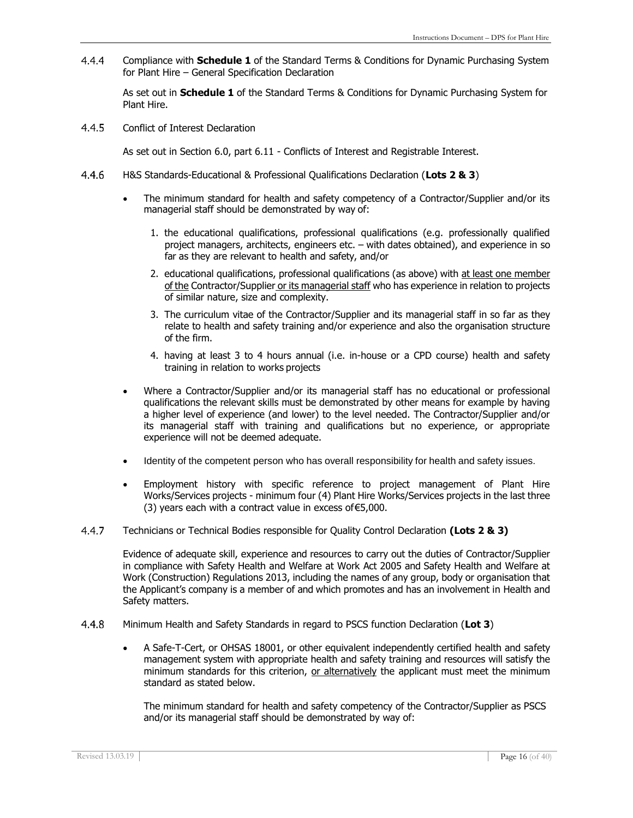$4.4.4$ Compliance with **Schedule 1** of the Standard Terms & Conditions for Dynamic Purchasing System for Plant Hire – General Specification Declaration

As set out in **Schedule 1** of the Standard Terms & Conditions for Dynamic Purchasing System for Plant Hire.

 $4.4.5$ Conflict of Interest Declaration

As set out in Section 6.0, part 6.11 - Conflicts of Interest and Registrable Interest.

- $4.4.6$ H&S Standards-Educational & Professional Qualifications Declaration (**Lots 2 & 3**)
	- The minimum standard for health and safety competency of a Contractor/Supplier and/or its managerial staff should be demonstrated by way of:
		- 1. the educational qualifications, professional qualifications (e.g. professionally qualified project managers, architects, engineers etc. – with dates obtained), and experience in so far as they are relevant to health and safety, and/or
		- 2. educational qualifications, professional qualifications (as above) with at least one member of the Contractor/Supplier or its managerial staff who has experience in relation to projects of similar nature, size and complexity.
		- 3. The curriculum vitae of the Contractor/Supplier and its managerial staff in so far as they relate to health and safety training and/or experience and also the organisation structure of the firm.
		- 4. having at least 3 to 4 hours annual (i.e. in-house or a CPD course) health and safety training in relation to works projects
	- Where a Contractor/Supplier and/or its managerial staff has no educational or professional qualifications the relevant skills must be demonstrated by other means for example by having a higher level of experience (and lower) to the level needed. The Contractor/Supplier and/or its managerial staff with training and qualifications but no experience, or appropriate experience will not be deemed adequate.
	- Identity of the competent person who has overall responsibility for health and safety issues.
	- Employment history with specific reference to project management of Plant Hire Works/Services projects - minimum four (4) Plant Hire Works/Services projects in the last three (3) years each with a contract value in excess of€5,000.
- $4.4.7$ Technicians or Technical Bodies responsible for Quality Control Declaration **(Lots 2 & 3)**

Evidence of adequate skill, experience and resources to carry out the duties of Contractor/Supplier in compliance with Safety Health and Welfare at Work Act 2005 and Safety Health and Welfare at Work (Construction) Regulations 2013, including the names of any group, body or organisation that the Applicant's company is a member of and which promotes and has an involvement in Health and Safety matters.

- 4.4.8 Minimum Health and Safety Standards in regard to PSCS function Declaration (**Lot 3**)
	- A Safe-T-Cert, or OHSAS 18001, or other equivalent independently certified health and safety management system with appropriate health and safety training and resources will satisfy the minimum standards for this criterion, or alternatively the applicant must meet the minimum standard as stated below.

The minimum standard for health and safety competency of the Contractor/Supplier as PSCS and/or its managerial staff should be demonstrated by way of: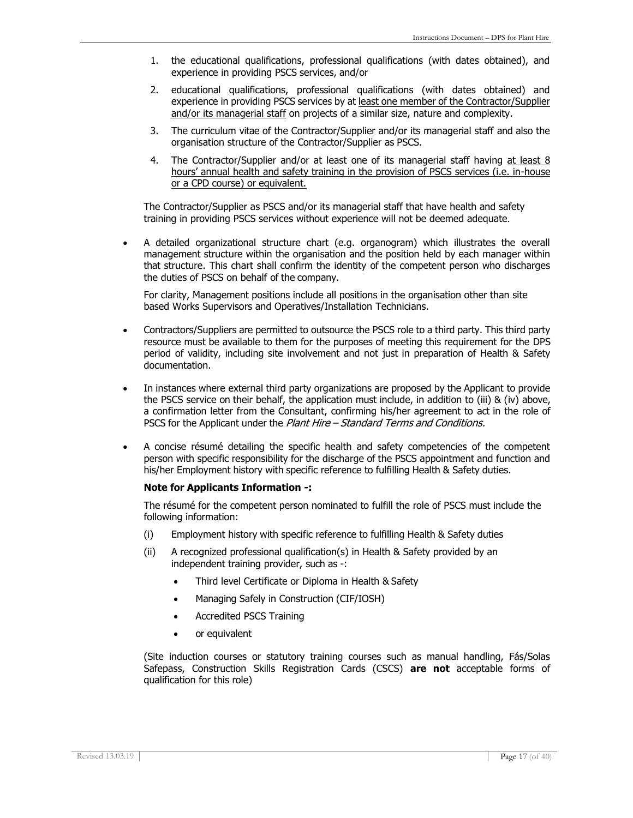- 1. the educational qualifications, professional qualifications (with dates obtained), and experience in providing PSCS services, and/or
- 2. educational qualifications, professional qualifications (with dates obtained) and experience in providing PSCS services by at least one member of the Contractor/Supplier and/or its managerial staff on projects of a similar size, nature and complexity.
- 3. The curriculum vitae of the Contractor/Supplier and/or its managerial staff and also the organisation structure of the Contractor/Supplier as PSCS.
- 4. The Contractor/Supplier and/or at least one of its managerial staff having at least 8 hours' annual health and safety training in the provision of PSCS services (i.e. in-house or a CPD course) or equivalent.

The Contractor/Supplier as PSCS and/or its managerial staff that have health and safety training in providing PSCS services without experience will not be deemed adequate*.*

• A detailed organizational structure chart (e.g. organogram) which illustrates the overall management structure within the organisation and the position held by each manager within that structure. This chart shall confirm the identity of the competent person who discharges the duties of PSCS on behalf of the company.

For clarity, Management positions include all positions in the organisation other than site based Works Supervisors and Operatives/Installation Technicians.

- Contractors/Suppliers are permitted to outsource the PSCS role to a third party. This third party resource must be available to them for the purposes of meeting this requirement for the DPS period of validity, including site involvement and not just in preparation of Health & Safety documentation.
- In instances where external third party organizations are proposed by the Applicant to provide the PSCS service on their behalf, the application must include, in addition to (iii) & (iv) above, a confirmation letter from the Consultant, confirming his/her agreement to act in the role of PSCS for the Applicant under the Plant Hire – Standard Terms and Conditions.
- A concise résumé detailing the specific health and safety competencies of the competent person with specific responsibility for the discharge of the PSCS appointment and function and his/her Employment history with specific reference to fulfilling Health & Safety duties.

#### **Note for Applicants Information -:**

The résumé for the competent person nominated to fulfill the role of PSCS must include the following information:

- (i) Employment history with specific reference to fulfilling Health & Safety duties
- (ii) A recognized professional qualification(s) in Health & Safety provided by an independent training provider, such as -:
	- Third level Certificate or Diploma in Health & Safety
	- Managing Safely in Construction (CIF/IOSH)
	- Accredited PSCS Training
	- or equivalent

(Site induction courses or statutory training courses such as manual handling, Fás/Solas Safepass, Construction Skills Registration Cards (CSCS) **are not** acceptable forms of qualification for this role)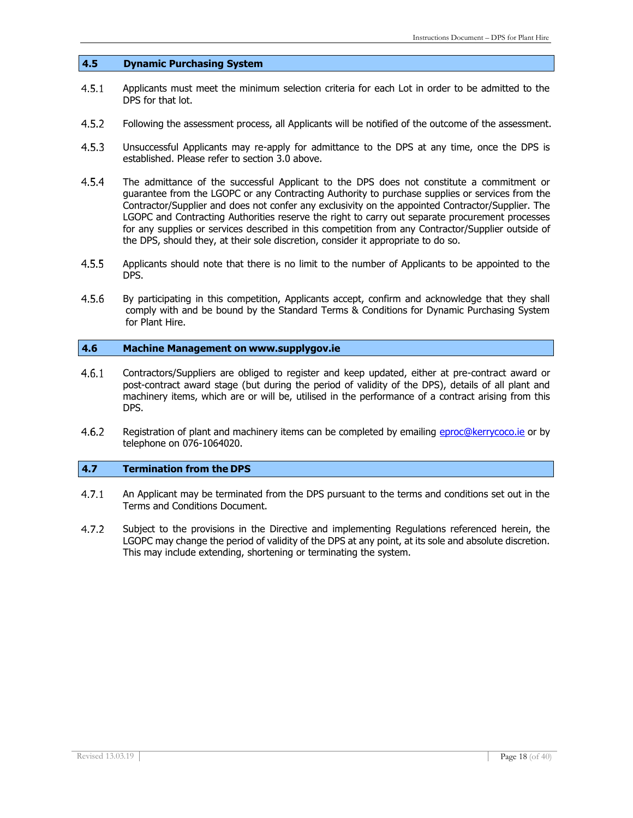#### **4.5 Dynamic Purchasing System**

- $4.5.1$ Applicants must meet the minimum selection criteria for each Lot in order to be admitted to the DPS for that lot.
- 4.5.2 Following the assessment process, all Applicants will be notified of the outcome of the assessment.
- $4.5.3$ Unsuccessful Applicants may re-apply for admittance to the DPS at any time, once the DPS is established. Please refer to section 3.0 above.
- $4.5.4$ The admittance of the successful Applicant to the DPS does not constitute a commitment or guarantee from the LGOPC or any Contracting Authority to purchase supplies or services from the Contractor/Supplier and does not confer any exclusivity on the appointed Contractor/Supplier. The LGOPC and Contracting Authorities reserve the right to carry out separate procurement processes for any supplies or services described in this competition from any Contractor/Supplier outside of the DPS, should they, at their sole discretion, consider it appropriate to do so.
- $4.5.5$ Applicants should note that there is no limit to the number of Applicants to be appointed to the DPS.
- $4.5.6$ By participating in this competition, Applicants accept, confirm and acknowledge that they shall comply with and be bound by the Standard Terms & Conditions for Dynamic Purchasing System for Plant Hire.

#### **4.6 Machine Management on [www.supplygov.ie](http://www.supplygov.ie/)**

- $4.6.1$ Contractors/Suppliers are obliged to register and keep updated, either at pre-contract award or post-contract award stage (but during the period of validity of the DPS), details of all plant and machinery items, which are or will be, utilised in the performance of a contract arising from this DPS.
- $4.6.2$ Registration of plant and machinery items can be completed by emailing [eproc@kerrycoco.ie](mailto:eproc@kerrycoco.ie) or by telephone on 076-1064020.

#### **4.7 Termination from the DPS**

- $4.7.1$ An Applicant may be terminated from the DPS pursuant to the terms and conditions set out in the Terms and Conditions Document.
- $4.7.2$ Subject to the provisions in the Directive and implementing Regulations referenced herein, the LGOPC may change the period of validity of the DPS at any point, at its sole and absolute discretion. This may include extending, shortening or terminating the system.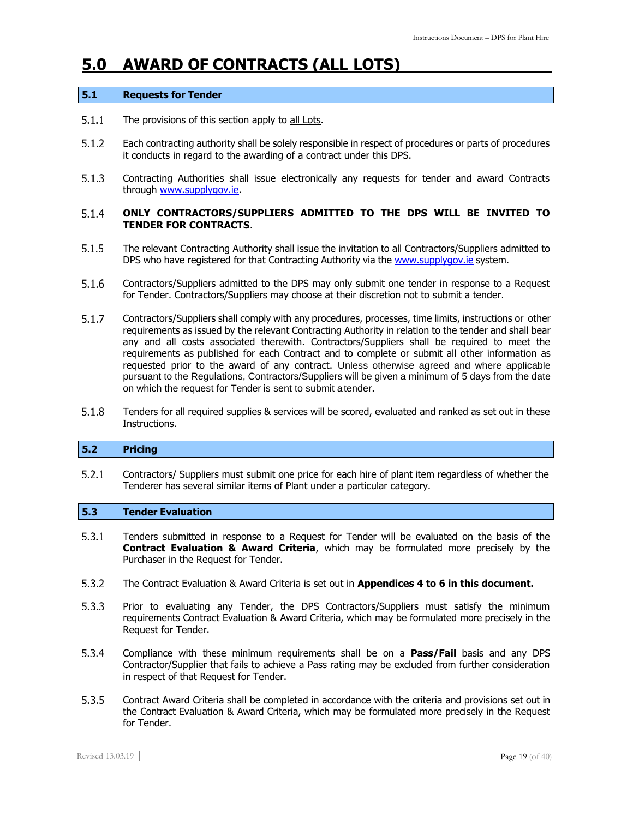# **5.0 AWARD OF CONTRACTS (ALL LOTS)**

#### **5.1 Requests for Tender**

- $5.1.1$ The provisions of this section apply to all Lots.
- $5.1.2$ Each contracting authority shall be solely responsible in respect of procedures or parts of procedures it conducts in regard to the awarding of a contract under this DPS.
- $5.1.3$ Contracting Authorities shall issue electronically any requests for tender and award Contracts through [www.supplygov.ie.](http://www.supplygov.ie/)

#### $5.1.4$ **ONLY CONTRACTORS/SUPPLIERS ADMITTED TO THE DPS WILL BE INVITED TO TENDER FOR CONTRACTS**.

- $5.1.5$ The relevant Contracting Authority shall issue the invitation to all Contractors/Suppliers admitted to DPS who have registered for that Contracting Authority via the [www.supplygov.ie](http://www.supplygov.ie/) system.
- $5.1.6$ Contractors/Suppliers admitted to the DPS may only submit one tender in response to a Request for Tender. Contractors/Suppliers may choose at their discretion not to submit a tender.
- $5.1.7$ Contractors/Suppliers shall comply with any procedures, processes, time limits, instructions or other requirements as issued by the relevant Contracting Authority in relation to the tender and shall bear any and all costs associated therewith. Contractors/Suppliers shall be required to meet the requirements as published for each Contract and to complete or submit all other information as requested prior to the award of any contract. Unless otherwise agreed and where applicable pursuant to the Regulations, Contractors/Suppliers will be given a minimum of 5 days from the date on which the request for Tender is sent to submit atender.
- $5.1.8$ Tenders for all required supplies & services will be scored, evaluated and ranked as set out in these Instructions.

#### **5.2 Pricing**

Contractors/ Suppliers must submit one price for each hire of plant item regardless of whether the  $5.2.1$ Tenderer has several similar items of Plant under a particular category.

#### **5.3 Tender Evaluation**

- $5.3.1$ Tenders submitted in response to a Request for Tender will be evaluated on the basis of the **Contract Evaluation & Award Criteria**, which may be formulated more precisely by the Purchaser in the Request for Tender.
- $5.3.2$ The Contract Evaluation & Award Criteria is set out in **Appendices 4 to 6 in this document.**
- Prior to evaluating any Tender, the DPS Contractors/Suppliers must satisfy the minimum  $5.3.3$ requirements Contract Evaluation & Award Criteria, which may be formulated more precisely in the Request for Tender.
- $5.3.4$ Compliance with these minimum requirements shall be on a **Pass/Fail** basis and any DPS Contractor/Supplier that fails to achieve a Pass rating may be excluded from further consideration in respect of that Request for Tender.
- $5.3.5$ Contract Award Criteria shall be completed in accordance with the criteria and provisions set out in the Contract Evaluation & Award Criteria, which may be formulated more precisely in the Request for Tender.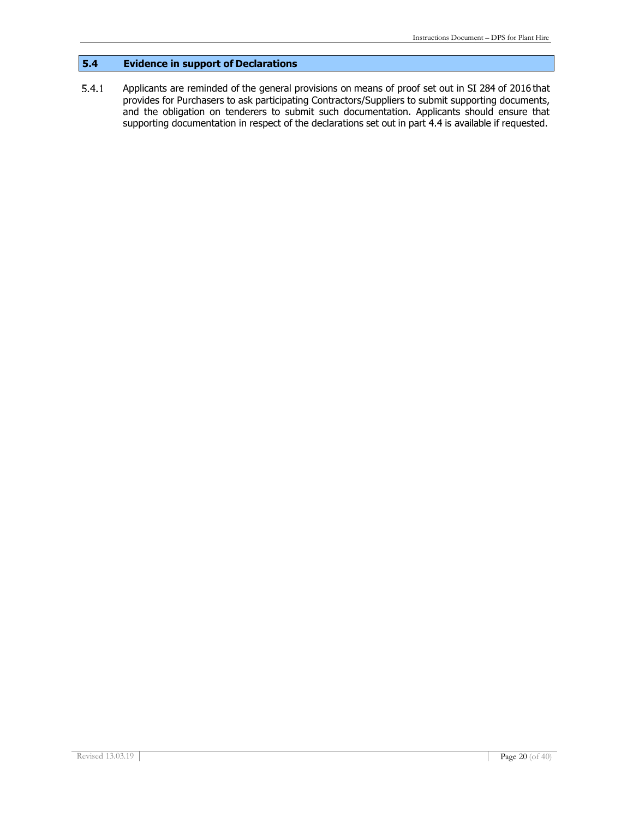### **5.4 Evidence in support of Declarations**

 $5.4.1$ Applicants are reminded of the general provisions on means of proof set out in SI 284 of 2016 that provides for Purchasers to ask participating Contractors/Suppliers to submit supporting documents, and the obligation on tenderers to submit such documentation. Applicants should ensure that supporting documentation in respect of the declarations set out in part 4.4 is available if requested.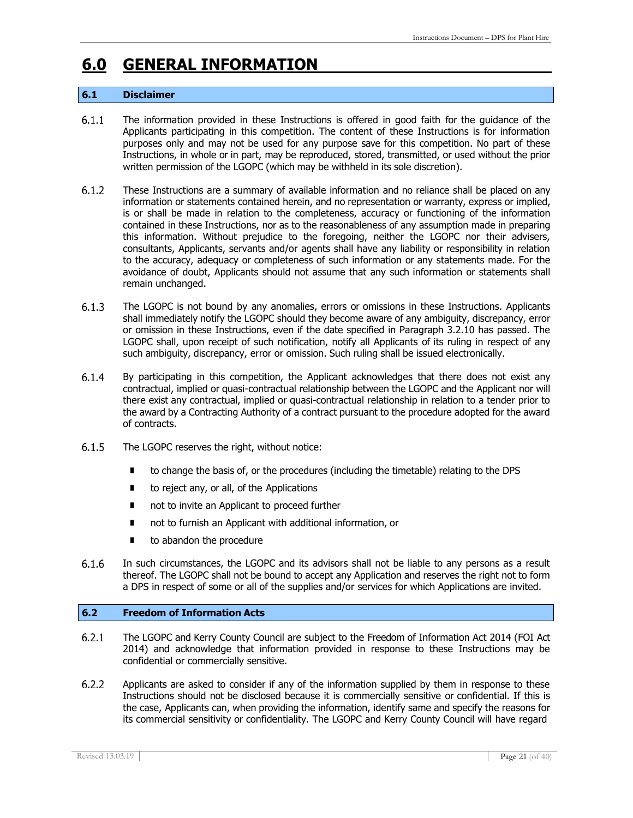# **6.0 GENERAL INFORMATION**

#### **6.1 Disclaimer**

- $6.1.1$ The information provided in these Instructions is offered in good faith for the guidance of the Applicants participating in this competition. The content of these Instructions is for information purposes only and may not be used for any purpose save for this competition. No part of these Instructions, in whole or in part, may be reproduced, stored, transmitted, or used without the prior written permission of the LGOPC (which may be withheld in its sole discretion).
- $6.1.2$ These Instructions are a summary of available information and no reliance shall be placed on any information or statements contained herein, and no representation or warranty, express or implied, is or shall be made in relation to the completeness, accuracy or functioning of the information contained in these Instructions, nor as to the reasonableness of any assumption made in preparing this information. Without prejudice to the foregoing, neither the LGOPC nor their advisers, consultants, Applicants, servants and/or agents shall have any liability or responsibility in relation to the accuracy, adequacy or completeness of such information or any statements made. For the avoidance of doubt, Applicants should not assume that any such information or statements shall remain unchanged.
- $6.1.3$ The LGOPC is not bound by any anomalies, errors or omissions in these Instructions. Applicants shall immediately notify the LGOPC should they become aware of any ambiguity, discrepancy, error or omission in these Instructions, even if the date specified in Paragraph 3.2.10 has passed. The LGOPC shall, upon receipt of such notification, notify all Applicants of its ruling in respect of any such ambiguity, discrepancy, error or omission. Such ruling shall be issued electronically.
- $6.1.4$ By participating in this competition, the Applicant acknowledges that there does not exist any contractual, implied or quasi-contractual relationship between the LGOPC and the Applicant nor will there exist any contractual, implied or quasi-contractual relationship in relation to a tender prior to the award by a Contracting Authority of a contract pursuant to the procedure adopted for the award of contracts.
- $6.1.5$ The LGOPC reserves the right, without notice:
	- to change the basis of, or the procedures (including the timetable) relating to the DPS
	- to reject any, or all, of the Applications
	- not to invite an Applicant to proceed further
	- not to furnish an Applicant with additional information, or
	- to abandon the procedure
- $6.1.6$ In such circumstances, the LGOPC and its advisors shall not be liable to any persons as a result thereof. The LGOPC shall not be bound to accept any Application and reserves the right not to form a DPS in respect of some or all of the supplies and/or services for which Applications are invited.

#### **6.2 Freedom of Information Acts**

- $6.2.1$ The LGOPC and Kerry County Council are subject to the Freedom of Information Act 2014 (FOI Act 2014) and acknowledge that information provided in response to these Instructions may be confidential or commercially sensitive.
- $6.2.2$ Applicants are asked to consider if any of the information supplied by them in response to these Instructions should not be disclosed because it is commercially sensitive or confidential. If this is the case, Applicants can, when providing the information, identify same and specify the reasons for its commercial sensitivity or confidentiality. The LGOPC and Kerry County Council will have regard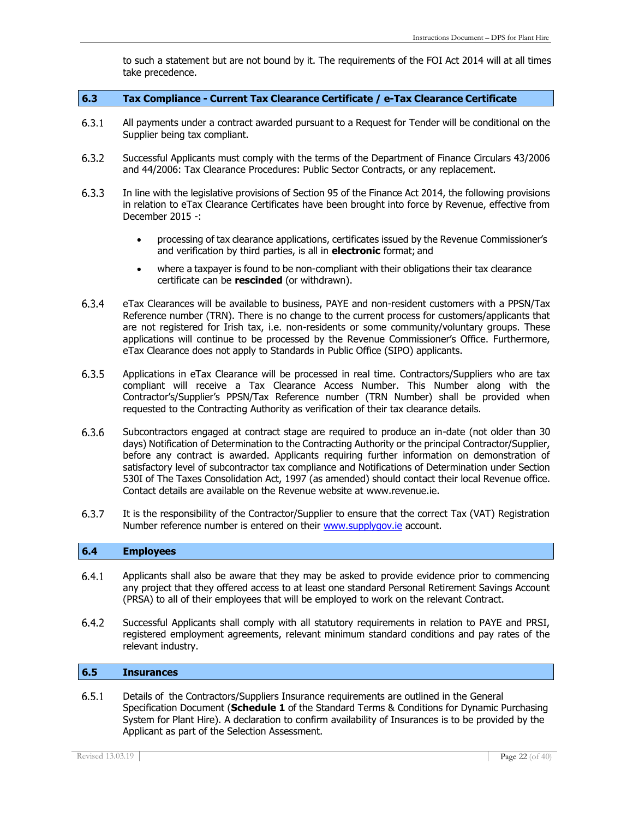to such a statement but are not bound by it. The requirements of the FOI Act 2014 will at all times take precedence.

#### **6.3 Tax Compliance - Current Tax Clearance Certificate / e-Tax Clearance Certificate**

- $6.3.1$ All payments under a contract awarded pursuant to a Request for Tender will be conditional on the Supplier being tax compliant.
- $6.3.2$ Successful Applicants must comply with the terms of the Department of Finance Circulars 43/2006 and 44/2006: Tax Clearance Procedures: Public Sector Contracts, or any replacement.
- $6.3.3$ In line with the legislative provisions of Section 95 of the Finance Act 2014, the following provisions in relation to eTax Clearance Certificates have been brought into force by Revenue, effective from December 2015 -:
	- processing of tax clearance applications, certificates issued by the Revenue Commissioner's and verification by third parties, is all in **electronic** format; and
	- where a taxpayer is found to be non-compliant with their obligations their tax clearance certificate can be **rescinded** (or withdrawn).
- $6.3.4$ eTax Clearances will be available to business, PAYE and non-resident customers with a PPSN/Tax Reference number (TRN). There is no change to the current process for customers/applicants that are not registered for Irish tax, i.e. non-residents or some community/voluntary groups. These applications will continue to be processed by the Revenue Commissioner's Office. Furthermore, eTax Clearance does not apply to Standards in Public Office (SIPO) applicants.
- $6.3.5$ Applications in eTax Clearance will be processed in real time. Contractors/Suppliers who are tax compliant will receive a Tax Clearance Access Number. This Number along with the Contractor's/Supplier's PPSN/Tax Reference number (TRN Number) shall be provided when requested to the Contracting Authority as verification of their tax clearance details.
- $6.3.6$ Subcontractors engaged at contract stage are required to produce an in-date (not older than 30 days) Notification of Determination to the Contracting Authority or the principal Contractor/Supplier, before any contract is awarded. Applicants requiring further information on demonstration of satisfactory level of subcontractor tax compliance and Notifications of Determination under Section 530I of The Taxes Consolidation Act, 1997 (as amended) should contact their local Revenue office. Contact details are available on the Revenue website at [www.revenue.ie.](http://www.revenue.ie/)
- 6.3.7 It is the responsibility of the Contractor/Supplier to ensure that the correct Tax (VAT) Registration Number reference number is entered on their [www.supplygov.ie](http://www.supplygov.ie/) account.

#### **6.4 Employees**

- $6.4.1$ Applicants shall also be aware that they may be asked to provide evidence prior to commencing any project that they offered access to at least one standard Personal Retirement Savings Account (PRSA) to all of their employees that will be employed to work on the relevant Contract.
- $6.4.2$ Successful Applicants shall comply with all statutory requirements in relation to PAYE and PRSI, registered employment agreements, relevant minimum standard conditions and pay rates of the relevant industry.

#### **6.5 Insurances**

 $6.5.1$ Details of the Contractors/Suppliers Insurance requirements are outlined in the General Specification Document (**Schedule 1** of the Standard Terms & Conditions for Dynamic Purchasing System for Plant Hire). A declaration to confirm availability of Insurances is to be provided by the Applicant as part of the Selection Assessment.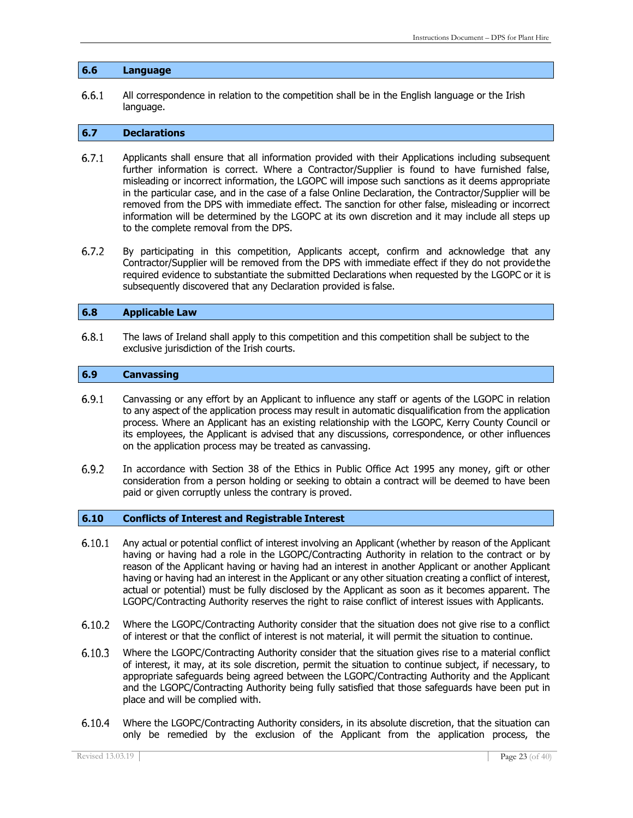#### **6.6 Language**

 $6.6.1$ All correspondence in relation to the competition shall be in the English language or the Irish language.

#### **6.7 Declarations**

- $6.7.1$ Applicants shall ensure that all information provided with their Applications including subsequent further information is correct. Where a Contractor/Supplier is found to have furnished false, misleading or incorrect information, the LGOPC will impose such sanctions as it deems appropriate in the particular case, and in the case of a false Online Declaration, the Contractor/Supplier will be removed from the DPS with immediate effect. The sanction for other false, misleading or incorrect information will be determined by the LGOPC at its own discretion and it may include all steps up to the complete removal from the DPS.
- $6.7.2$ By participating in this competition, Applicants accept, confirm and acknowledge that any Contractor/Supplier will be removed from the DPS with immediate effect if they do not providethe required evidence to substantiate the submitted Declarations when requested by the LGOPC or it is subsequently discovered that any Declaration provided is false.

#### **6.8 Applicable Law**

 $6.8.1$ The laws of Ireland shall apply to this competition and this competition shall be subject to the exclusive jurisdiction of the Irish courts.

#### **6.9 Canvassing**

- $6.9.1$ Canvassing or any effort by an Applicant to influence any staff or agents of the LGOPC in relation to any aspect of the application process may result in automatic disqualification from the application process. Where an Applicant has an existing relationship with the LGOPC, Kerry County Council or its employees, the Applicant is advised that any discussions, correspondence, or other influences on the application process may be treated as canvassing.
- $6.9.2$ In accordance with Section 38 of the Ethics in Public Office Act 1995 any money, gift or other consideration from a person holding or seeking to obtain a contract will be deemed to have been paid or given corruptly unless the contrary is proved.

#### **6.10 Conflicts of Interest and Registrable Interest**

- $6.10.1$ Any actual or potential conflict of interest involving an Applicant (whether by reason of the Applicant having or having had a role in the LGOPC/Contracting Authority in relation to the contract or by reason of the Applicant having or having had an interest in another Applicant or another Applicant having or having had an interest in the Applicant or any other situation creating a conflict of interest, actual or potential) must be fully disclosed by the Applicant as soon as it becomes apparent. The LGOPC/Contracting Authority reserves the right to raise conflict of interest issues with Applicants.
- Where the LGOPC/Contracting Authority consider that the situation does not give rise to a conflict 6.10.2 of interest or that the conflict of interest is not material, it will permit the situation to continue.
- Where the LGOPC/Contracting Authority consider that the situation gives rise to a material conflict  $6.10.3$ of interest, it may, at its sole discretion, permit the situation to continue subject, if necessary, to appropriate safeguards being agreed between the LGOPC/Contracting Authority and the Applicant and the LGOPC/Contracting Authority being fully satisfied that those safeguards have been put in place and will be complied with.
- $6.10.4$ Where the LGOPC/Contracting Authority considers, in its absolute discretion, that the situation can only be remedied by the exclusion of the Applicant from the application process, the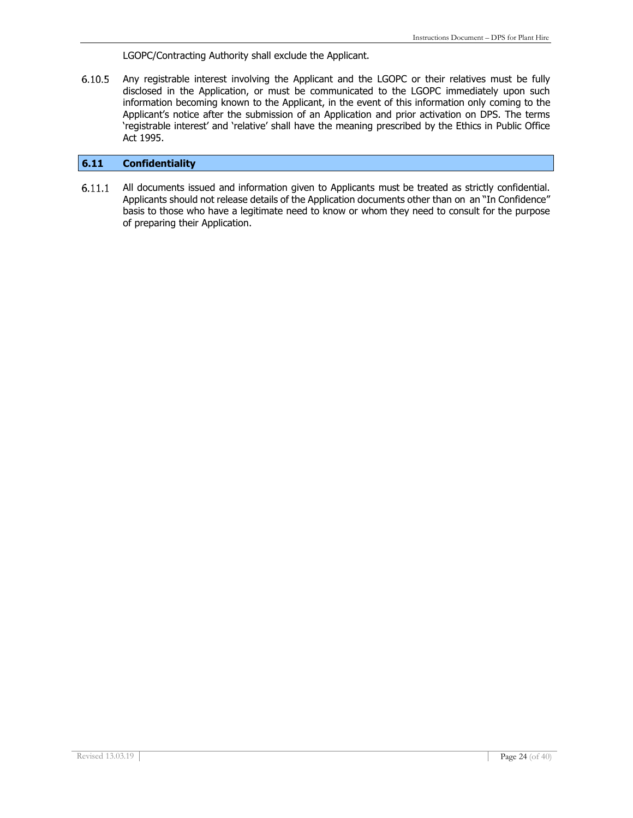LGOPC/Contracting Authority shall exclude the Applicant.

Any registrable interest involving the Applicant and the LGOPC or their relatives must be fully  $6.10.5$ disclosed in the Application, or must be communicated to the LGOPC immediately upon such information becoming known to the Applicant, in the event of this information only coming to the Applicant's notice after the submission of an Application and prior activation on DPS. The terms 'registrable interest' and 'relative' shall have the meaning prescribed by the Ethics in Public Office Act 1995.

#### **6.11 Confidentiality**

 $6.11.1$ All documents issued and information given to Applicants must be treated as strictly confidential. Applicants should not release details of the Application documents other than on an "In Confidence" basis to those who have a legitimate need to know or whom they need to consult for the purpose of preparing their Application.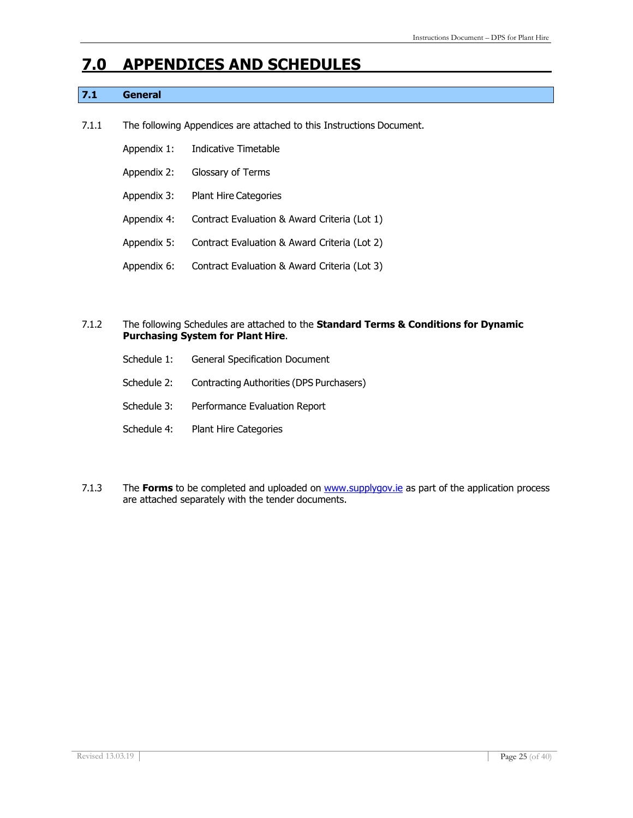## **7.0 APPENDICES AND SCHEDULES**

### **7.1 General**

- 7.1.1 The following Appendices are attached to this Instructions Document.
	- Appendix 1: Indicative Timetable
	- Appendix 2: Glossary of Terms
	- Appendix 3: Plant Hire Categories
	- Appendix 4: Contract Evaluation & Award Criteria (Lot 1)
	- Appendix 5: Contract Evaluation & Award Criteria (Lot 2)
	- Appendix 6: Contract Evaluation & Award Criteria (Lot 3)

#### 7.1.2 The following Schedules are attached to the **Standard Terms & Conditions for Dynamic Purchasing System for Plant Hire**.

| Schedule 1: | <b>General Specification Document</b>    |
|-------------|------------------------------------------|
| Schedule 2: | Contracting Authorities (DPS Purchasers) |
| Schedule 3: | Performance Evaluation Report            |
| Schedule 4: | <b>Plant Hire Categories</b>             |

7.1.3 The **Forms** to be completed and uploaded on [www.supplygov.ie](http://www.supplygov.ie/) as part of the application process are attached separately with the tender documents.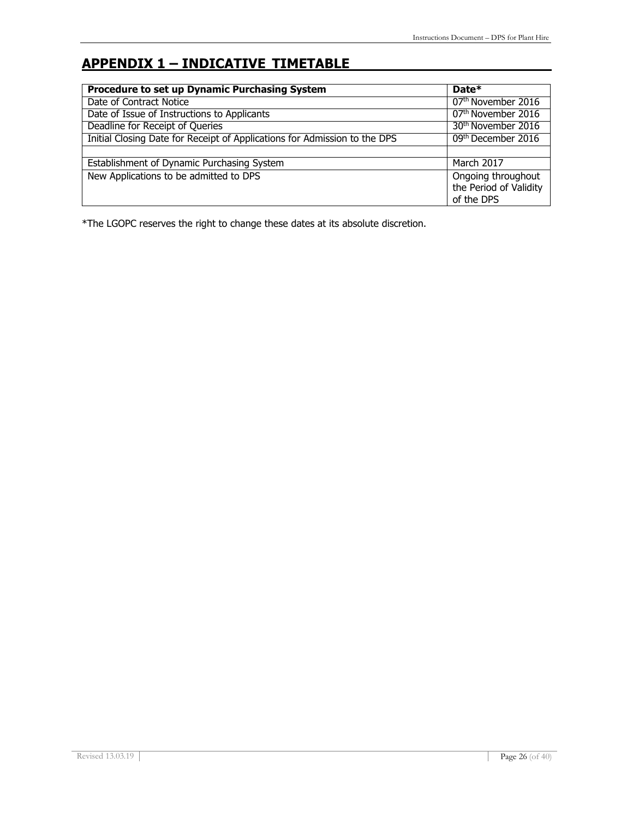# **APPENDIX 1 – INDICATIVE TIMETABLE**

| <b>Procedure to set up Dynamic Purchasing System</b>                      | Date $*$                                                   |
|---------------------------------------------------------------------------|------------------------------------------------------------|
| Date of Contract Notice                                                   | 07 <sup>th</sup> November 2016                             |
| Date of Issue of Instructions to Applicants                               | 07 <sup>th</sup> November 2016                             |
| Deadline for Receipt of Queries                                           | 30 <sup>th</sup> November 2016                             |
| Initial Closing Date for Receipt of Applications for Admission to the DPS | 09th December 2016                                         |
|                                                                           |                                                            |
| Establishment of Dynamic Purchasing System                                | <b>March 2017</b>                                          |
| New Applications to be admitted to DPS                                    | Ongoing throughout<br>the Period of Validity<br>of the DPS |

\*The LGOPC reserves the right to change these dates at its absolute discretion.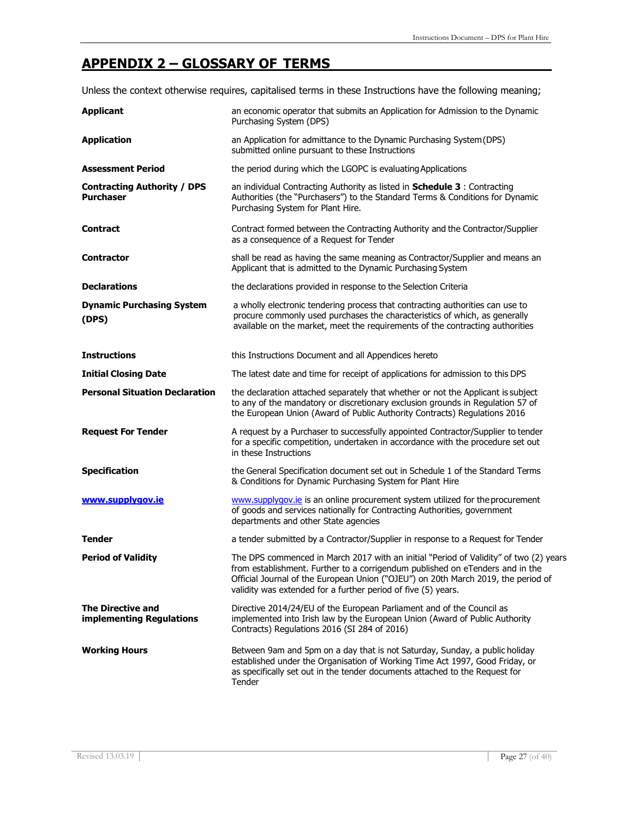### **APPENDIX 2 – GLOSSARY OF TERMS**

Unless the context otherwise requires, capitalised terms in these Instructions have the following meaning;

| <b>Applicant</b>                                       | an economic operator that submits an Application for Admission to the Dynamic<br>Purchasing System (DPS)                                                                                                                                                                                                                     |
|--------------------------------------------------------|------------------------------------------------------------------------------------------------------------------------------------------------------------------------------------------------------------------------------------------------------------------------------------------------------------------------------|
| <b>Application</b>                                     | an Application for admittance to the Dynamic Purchasing System (DPS)<br>submitted online pursuant to these Instructions                                                                                                                                                                                                      |
| <b>Assessment Period</b>                               | the period during which the LGOPC is evaluating Applications                                                                                                                                                                                                                                                                 |
| <b>Contracting Authority / DPS</b><br><b>Purchaser</b> | an individual Contracting Authority as listed in Schedule 3 : Contracting<br>Authorities (the "Purchasers") to the Standard Terms & Conditions for Dynamic<br>Purchasing System for Plant Hire.                                                                                                                              |
| Contract                                               | Contract formed between the Contracting Authority and the Contractor/Supplier<br>as a consequence of a Request for Tender                                                                                                                                                                                                    |
| <b>Contractor</b>                                      | shall be read as having the same meaning as Contractor/Supplier and means an<br>Applicant that is admitted to the Dynamic Purchasing System                                                                                                                                                                                  |
| <b>Declarations</b>                                    | the declarations provided in response to the Selection Criteria                                                                                                                                                                                                                                                              |
| <b>Dynamic Purchasing System</b><br>(DPS)              | a wholly electronic tendering process that contracting authorities can use to<br>procure commonly used purchases the characteristics of which, as generally<br>available on the market, meet the requirements of the contracting authorities                                                                                 |
| <b>Instructions</b>                                    | this Instructions Document and all Appendices hereto                                                                                                                                                                                                                                                                         |
| <b>Initial Closing Date</b>                            | The latest date and time for receipt of applications for admission to this DPS                                                                                                                                                                                                                                               |
| <b>Personal Situation Declaration</b>                  | the declaration attached separately that whether or not the Applicant is subject<br>to any of the mandatory or discretionary exclusion grounds in Regulation 57 of<br>the European Union (Award of Public Authority Contracts) Regulations 2016                                                                              |
| <b>Request For Tender</b>                              | A request by a Purchaser to successfully appointed Contractor/Supplier to tender<br>for a specific competition, undertaken in accordance with the procedure set out<br>in these Instructions                                                                                                                                 |
| <b>Specification</b>                                   | the General Specification document set out in Schedule 1 of the Standard Terms<br>& Conditions for Dynamic Purchasing System for Plant Hire                                                                                                                                                                                  |
| www.supplygov.ie                                       | www.supplygov.ie is an online procurement system utilized for the procurement<br>of goods and services nationally for Contracting Authorities, government<br>departments and other State agencies                                                                                                                            |
| <b>Tender</b>                                          | a tender submitted by a Contractor/Supplier in response to a Request for Tender                                                                                                                                                                                                                                              |
| <b>Period of Validity</b>                              | The DPS commenced in March 2017 with an initial "Period of Validity" of two (2) years<br>from establishment. Further to a corrigendum published on eTenders and in the<br>Official Journal of the European Union ("OJEU") on 20th March 2019, the period of<br>validity was extended for a further period of five (5) years. |
| <b>The Directive and</b><br>implementing Regulations   | Directive 2014/24/EU of the European Parliament and of the Council as<br>implemented into Irish law by the European Union (Award of Public Authority<br>Contracts) Regulations 2016 (SI 284 of 2016)                                                                                                                         |
| <b>Working Hours</b>                                   | Between 9am and 5pm on a day that is not Saturday, Sunday, a public holiday<br>established under the Organisation of Working Time Act 1997, Good Friday, or<br>as specifically set out in the tender documents attached to the Request for<br>Tender                                                                         |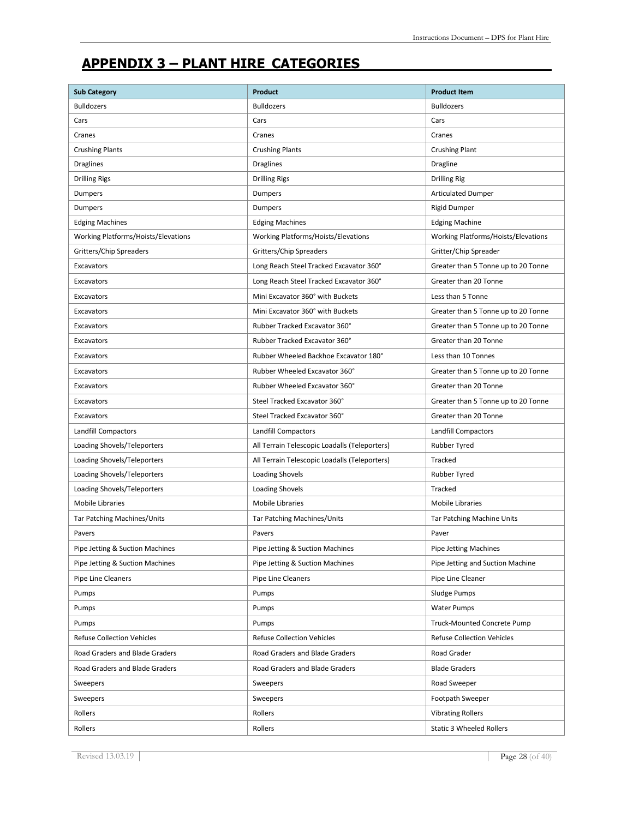## **APPENDIX 3 – PLANT HIRE CATEGORIES**

| <b>Sub Category</b>                 | Product                                       | <b>Product Item</b>                 |
|-------------------------------------|-----------------------------------------------|-------------------------------------|
| <b>Bulldozers</b>                   | <b>Bulldozers</b>                             | <b>Bulldozers</b>                   |
| Cars                                | Cars                                          | Cars                                |
| Cranes                              | Cranes                                        | Cranes                              |
| <b>Crushing Plants</b>              | <b>Crushing Plants</b>                        | <b>Crushing Plant</b>               |
| <b>Draglines</b>                    | <b>Draglines</b>                              | Dragline                            |
| <b>Drilling Rigs</b>                | <b>Drilling Rigs</b>                          | <b>Drilling Rig</b>                 |
| <b>Dumpers</b>                      | Dumpers                                       | <b>Articulated Dumper</b>           |
| Dumpers                             | Dumpers                                       | <b>Rigid Dumper</b>                 |
| <b>Edging Machines</b>              | <b>Edging Machines</b>                        | <b>Edging Machine</b>               |
| Working Platforms/Hoists/Elevations | Working Platforms/Hoists/Elevations           | Working Platforms/Hoists/Elevations |
| Gritters/Chip Spreaders             | Gritters/Chip Spreaders                       | Gritter/Chip Spreader               |
| Excavators                          | Long Reach Steel Tracked Excavator 360°       | Greater than 5 Tonne up to 20 Tonne |
| Excavators                          | Long Reach Steel Tracked Excavator 360°       | Greater than 20 Tonne               |
| Excavators                          | Mini Excavator 360° with Buckets              | Less than 5 Tonne                   |
| Excavators                          | Mini Excavator 360° with Buckets              | Greater than 5 Tonne up to 20 Tonne |
| Excavators                          | Rubber Tracked Excavator 360°                 | Greater than 5 Tonne up to 20 Tonne |
| Excavators                          | Rubber Tracked Excavator 360°                 | Greater than 20 Tonne               |
| Excavators                          | Rubber Wheeled Backhoe Excavator 180°         | Less than 10 Tonnes                 |
| Excavators                          | Rubber Wheeled Excavator 360°                 | Greater than 5 Tonne up to 20 Tonne |
| Excavators                          | Rubber Wheeled Excavator 360°                 | Greater than 20 Tonne               |
| Excavators                          | Steel Tracked Excavator 360°                  | Greater than 5 Tonne up to 20 Tonne |
| Excavators                          | Steel Tracked Excavator 360°                  | Greater than 20 Tonne               |
| <b>Landfill Compactors</b>          | <b>Landfill Compactors</b>                    | <b>Landfill Compactors</b>          |
| Loading Shovels/Teleporters         | All Terrain Telescopic Loadalls (Teleporters) | <b>Rubber Tyred</b>                 |
| Loading Shovels/Teleporters         | All Terrain Telescopic Loadalls (Teleporters) | Tracked                             |
| Loading Shovels/Teleporters         | Loading Shovels                               | <b>Rubber Tyred</b>                 |
| Loading Shovels/Teleporters         | Loading Shovels                               | Tracked                             |
| <b>Mobile Libraries</b>             | <b>Mobile Libraries</b>                       | <b>Mobile Libraries</b>             |
| Tar Patching Machines/Units         | <b>Tar Patching Machines/Units</b>            | Tar Patching Machine Units          |
| Pavers                              | Pavers                                        | Paver                               |
| Pipe Jetting & Suction Machines     | Pipe Jetting & Suction Machines               | Pipe Jetting Machines               |
| Pipe Jetting & Suction Machines     | Pipe Jetting & Suction Machines               | Pipe Jetting and Suction Machine    |
| Pipe Line Cleaners                  | Pipe Line Cleaners                            | Pipe Line Cleaner                   |
| Pumps                               | Pumps                                         | Sludge Pumps                        |
| Pumps                               | Pumps                                         | <b>Water Pumps</b>                  |
| Pumps                               | Pumps                                         | Truck-Mounted Concrete Pump         |
| <b>Refuse Collection Vehicles</b>   | <b>Refuse Collection Vehicles</b>             | <b>Refuse Collection Vehicles</b>   |
| Road Graders and Blade Graders      | Road Graders and Blade Graders                | Road Grader                         |
| Road Graders and Blade Graders      | Road Graders and Blade Graders                | <b>Blade Graders</b>                |
| Sweepers                            | Sweepers                                      | Road Sweeper                        |
| Sweepers                            | Sweepers                                      | Footpath Sweeper                    |
| Rollers                             | Rollers                                       | <b>Vibrating Rollers</b>            |
| Rollers                             | Rollers                                       | <b>Static 3 Wheeled Rollers</b>     |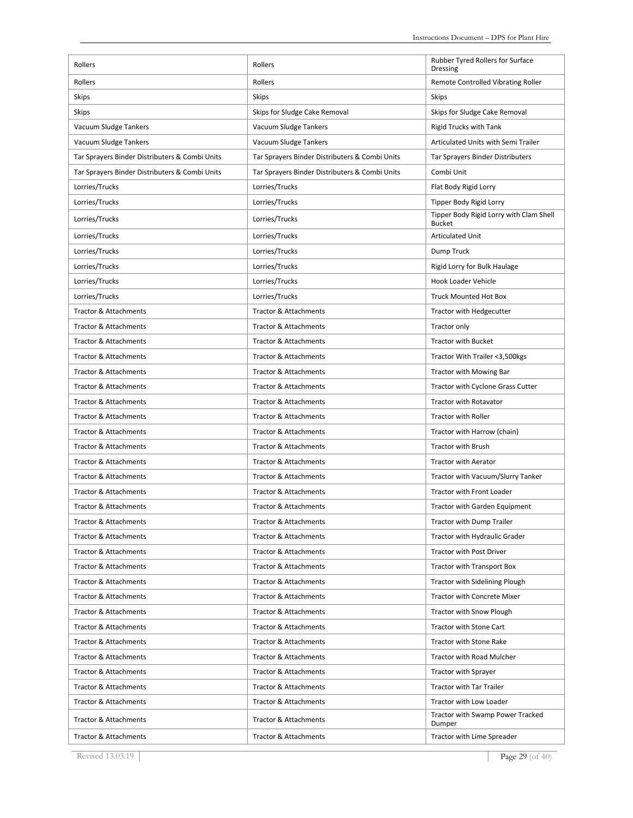| Rollers                                        | Rollers                                        | Rubber Tyred Rollers for Surface                                   |
|------------------------------------------------|------------------------------------------------|--------------------------------------------------------------------|
| Rollers                                        | Rollers                                        | Dressing<br>Remote Controlled Vibrating Roller                     |
| <b>Skips</b>                                   | <b>Skips</b>                                   | <b>Skips</b>                                                       |
| <b>Skips</b>                                   | Skips for Sludge Cake Removal                  | Skips for Sludge Cake Removal                                      |
|                                                | Vacuum Sludge Tankers                          |                                                                    |
| Vacuum Sludge Tankers                          |                                                | <b>Rigid Trucks with Tank</b>                                      |
| Vacuum Sludge Tankers                          | Vacuum Sludge Tankers                          | Articulated Units with Semi Trailer                                |
| Tar Sprayers Binder Distributers & Combi Units | Tar Sprayers Binder Distributers & Combi Units | Tar Sprayers Binder Distributers                                   |
| Tar Sprayers Binder Distributers & Combi Units | Tar Sprayers Binder Distributers & Combi Units | Combi Unit                                                         |
| Lorries/Trucks                                 | Lorries/Trucks                                 | Flat Body Rigid Lorry                                              |
| Lorries/Trucks                                 | Lorries/Trucks                                 | Tipper Body Rigid Lorry<br>Tipper Body Rigid Lorry with Clam Shell |
| Lorries/Trucks                                 | Lorries/Trucks                                 | <b>Bucket</b>                                                      |
| Lorries/Trucks                                 | Lorries/Trucks                                 | <b>Articulated Unit</b>                                            |
| Lorries/Trucks                                 | Lorries/Trucks                                 | Dump Truck                                                         |
| Lorries/Trucks                                 | Lorries/Trucks                                 | Rigid Lorry for Bulk Haulage                                       |
| Lorries/Trucks                                 | Lorries/Trucks                                 | Hook Loader Vehicle                                                |
| Lorries/Trucks                                 | Lorries/Trucks                                 | <b>Truck Mounted Hot Box</b>                                       |
| <b>Tractor &amp; Attachments</b>               | <b>Tractor &amp; Attachments</b>               | Tractor with Hedgecutter                                           |
| <b>Tractor &amp; Attachments</b>               | <b>Tractor &amp; Attachments</b>               | Tractor only                                                       |
| Tractor & Attachments                          | <b>Tractor &amp; Attachments</b>               | <b>Tractor with Bucket</b>                                         |
| <b>Tractor &amp; Attachments</b>               | <b>Tractor &amp; Attachments</b>               | Tractor With Trailer <3,500kgs                                     |
| <b>Tractor &amp; Attachments</b>               | <b>Tractor &amp; Attachments</b>               | Tractor with Mowing Bar                                            |
| <b>Tractor &amp; Attachments</b>               | <b>Tractor &amp; Attachments</b>               | Tractor with Cyclone Grass Cutter                                  |
| <b>Tractor &amp; Attachments</b>               | <b>Tractor &amp; Attachments</b>               | <b>Tractor with Rotavator</b>                                      |
| <b>Tractor &amp; Attachments</b>               | <b>Tractor &amp; Attachments</b>               | <b>Tractor with Roller</b>                                         |
| <b>Tractor &amp; Attachments</b>               | <b>Tractor &amp; Attachments</b>               | Tractor with Harrow (chain)                                        |
| <b>Tractor &amp; Attachments</b>               | <b>Tractor &amp; Attachments</b>               | <b>Tractor with Brush</b>                                          |
| <b>Tractor &amp; Attachments</b>               | <b>Tractor &amp; Attachments</b>               | <b>Tractor with Aerator</b>                                        |
| <b>Tractor &amp; Attachments</b>               | <b>Tractor &amp; Attachments</b>               | Tractor with Vacuum/Slurry Tanker                                  |
| <b>Tractor &amp; Attachments</b>               | <b>Tractor &amp; Attachments</b>               | <b>Tractor with Front Loader</b>                                   |
| Tractor & Attachments                          | Tractor & Attachments                          | Tractor with Garden Equipment                                      |
| <b>Tractor &amp; Attachments</b>               | Tractor & Attachments                          | <b>Tractor with Dump Trailer</b>                                   |
| <b>Tractor &amp; Attachments</b>               | <b>Tractor &amp; Attachments</b>               | Tractor with Hydraulic Grader                                      |
| <b>Tractor &amp; Attachments</b>               | Tractor & Attachments                          | Tractor with Post Driver                                           |
| <b>Tractor &amp; Attachments</b>               | Tractor & Attachments                          | Tractor with Transport Box                                         |
| <b>Tractor &amp; Attachments</b>               | <b>Tractor &amp; Attachments</b>               | <b>Tractor with Sidelining Plough</b>                              |
| <b>Tractor &amp; Attachments</b>               | <b>Tractor &amp; Attachments</b>               | <b>Tractor with Concrete Mixer</b>                                 |
| <b>Tractor &amp; Attachments</b>               | <b>Tractor &amp; Attachments</b>               | <b>Tractor with Snow Plough</b>                                    |
| Tractor & Attachments                          | <b>Tractor &amp; Attachments</b>               | Tractor with Stone Cart                                            |
| Tractor & Attachments                          | Tractor & Attachments                          | Tractor with Stone Rake                                            |
| <b>Tractor &amp; Attachments</b>               | <b>Tractor &amp; Attachments</b>               | Tractor with Road Mulcher                                          |
| Tractor & Attachments                          | Tractor & Attachments                          | Tractor with Sprayer                                               |
| <b>Tractor &amp; Attachments</b>               | <b>Tractor &amp; Attachments</b>               | <b>Tractor with Tar Trailer</b>                                    |
| <b>Tractor &amp; Attachments</b>               | <b>Tractor &amp; Attachments</b>               | Tractor with Low Loader                                            |
| <b>Tractor &amp; Attachments</b>               | Tractor & Attachments                          | Tractor with Swamp Power Tracked<br>Dumper                         |
| Tractor & Attachments                          | Tractor & Attachments                          | Tractor with Lime Spreader                                         |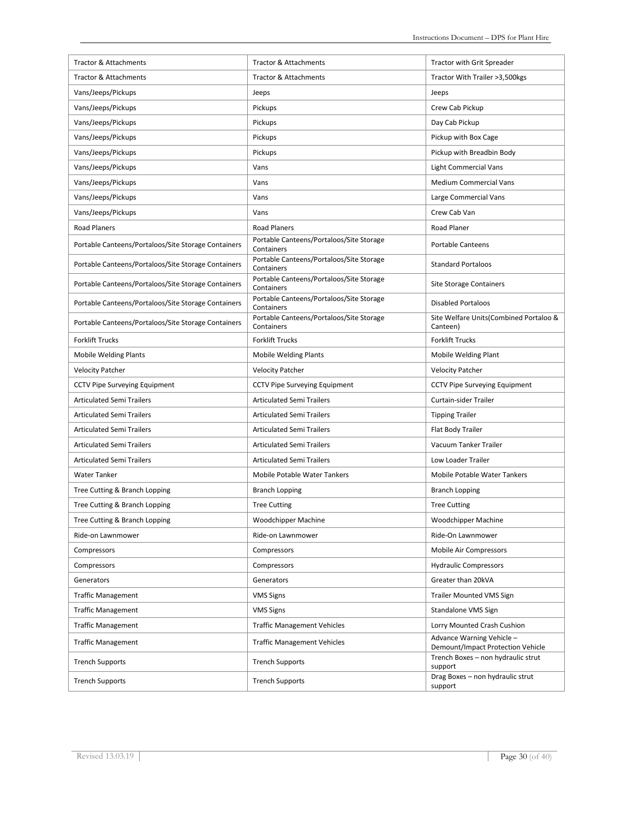| <b>Tractor &amp; Attachments</b>                    | <b>Tractor &amp; Attachments</b>                       | Tractor with Grit Spreader                                     |
|-----------------------------------------------------|--------------------------------------------------------|----------------------------------------------------------------|
| <b>Tractor &amp; Attachments</b>                    | <b>Tractor &amp; Attachments</b>                       | Tractor With Trailer >3,500kgs                                 |
| Vans/Jeeps/Pickups                                  | Jeeps                                                  | Jeeps                                                          |
| Vans/Jeeps/Pickups                                  | Pickups                                                | Crew Cab Pickup                                                |
| Vans/Jeeps/Pickups                                  | Pickups                                                | Day Cab Pickup                                                 |
| Vans/Jeeps/Pickups                                  | Pickups                                                | Pickup with Box Cage                                           |
| Vans/Jeeps/Pickups                                  | Pickups                                                | Pickup with Breadbin Body                                      |
| Vans/Jeeps/Pickups                                  | Vans                                                   | <b>Light Commercial Vans</b>                                   |
| Vans/Jeeps/Pickups                                  | Vans                                                   | <b>Medium Commercial Vans</b>                                  |
| Vans/Jeeps/Pickups                                  | Vans                                                   | Large Commercial Vans                                          |
| Vans/Jeeps/Pickups                                  | Vans                                                   | Crew Cab Van                                                   |
| <b>Road Planers</b>                                 | <b>Road Planers</b>                                    | <b>Road Planer</b>                                             |
| Portable Canteens/Portaloos/Site Storage Containers | Portable Canteens/Portaloos/Site Storage<br>Containers | Portable Canteens                                              |
| Portable Canteens/Portaloos/Site Storage Containers | Portable Canteens/Portaloos/Site Storage<br>Containers | <b>Standard Portaloos</b>                                      |
| Portable Canteens/Portaloos/Site Storage Containers | Portable Canteens/Portaloos/Site Storage<br>Containers | <b>Site Storage Containers</b>                                 |
| Portable Canteens/Portaloos/Site Storage Containers | Portable Canteens/Portaloos/Site Storage<br>Containers | <b>Disabled Portaloos</b>                                      |
| Portable Canteens/Portaloos/Site Storage Containers | Portable Canteens/Portaloos/Site Storage<br>Containers | Site Welfare Units (Combined Portaloo &<br>Canteen)            |
| <b>Forklift Trucks</b>                              | <b>Forklift Trucks</b>                                 | <b>Forklift Trucks</b>                                         |
| <b>Mobile Welding Plants</b>                        | <b>Mobile Welding Plants</b>                           | Mobile Welding Plant                                           |
| <b>Velocity Patcher</b>                             | <b>Velocity Patcher</b>                                | <b>Velocity Patcher</b>                                        |
| <b>CCTV Pipe Surveying Equipment</b>                | <b>CCTV Pipe Surveying Equipment</b>                   | <b>CCTV Pipe Surveying Equipment</b>                           |
| <b>Articulated Semi Trailers</b>                    | <b>Articulated Semi Trailers</b>                       | Curtain-sider Trailer                                          |
| <b>Articulated Semi Trailers</b>                    | <b>Articulated Semi Trailers</b>                       | <b>Tipping Trailer</b>                                         |
| <b>Articulated Semi Trailers</b>                    | <b>Articulated Semi Trailers</b>                       | Flat Body Trailer                                              |
| <b>Articulated Semi Trailers</b>                    | <b>Articulated Semi Trailers</b>                       | Vacuum Tanker Trailer                                          |
| <b>Articulated Semi Trailers</b>                    | <b>Articulated Semi Trailers</b>                       | Low Loader Trailer                                             |
| <b>Water Tanker</b>                                 | Mobile Potable Water Tankers                           | Mobile Potable Water Tankers                                   |
| Tree Cutting & Branch Lopping                       | <b>Branch Lopping</b>                                  | <b>Branch Lopping</b>                                          |
| Tree Cutting & Branch Lopping                       | <b>Tree Cutting</b>                                    | <b>Tree Cutting</b>                                            |
| Tree Cutting & Branch Lopping                       | Woodchipper Machine                                    | Woodchipper Machine                                            |
| Ride-on Lawnmower                                   | Ride-on Lawnmower                                      | Ride-On Lawnmower                                              |
| Compressors                                         | Compressors                                            | Mobile Air Compressors                                         |
| Compressors                                         | Compressors                                            | <b>Hydraulic Compressors</b>                                   |
| Generators                                          | Generators                                             | Greater than 20kVA                                             |
| <b>Traffic Management</b>                           | <b>VMS Signs</b>                                       | <b>Trailer Mounted VMS Sign</b>                                |
| <b>Traffic Management</b>                           | <b>VMS Signs</b>                                       | Standalone VMS Sign                                            |
| <b>Traffic Management</b>                           | <b>Traffic Management Vehicles</b>                     | Lorry Mounted Crash Cushion                                    |
| <b>Traffic Management</b>                           | <b>Traffic Management Vehicles</b>                     | Advance Warning Vehicle -<br>Demount/Impact Protection Vehicle |
| <b>Trench Supports</b>                              | <b>Trench Supports</b>                                 | Trench Boxes - non hydraulic strut<br>support                  |
| <b>Trench Supports</b>                              | <b>Trench Supports</b>                                 | Drag Boxes - non hydraulic strut<br>support                    |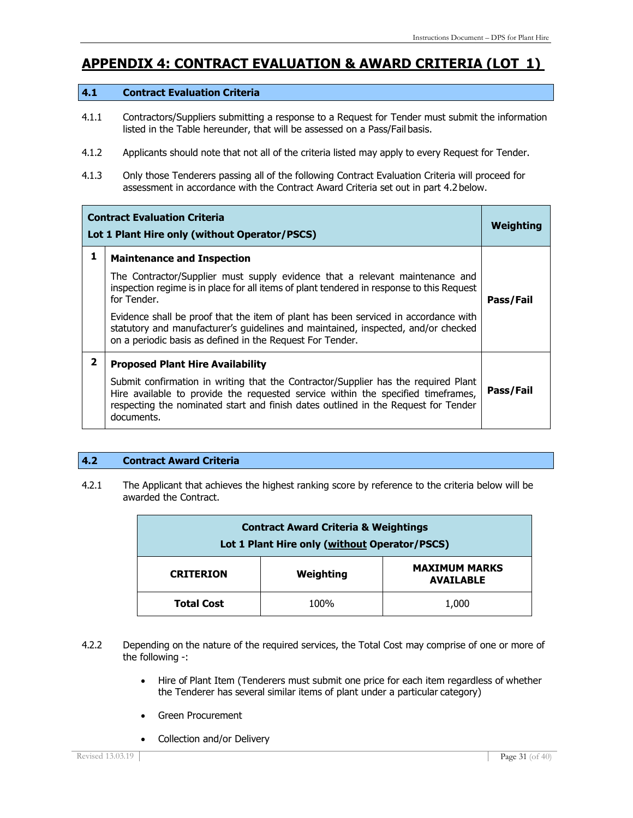### **APPENDIX 4: CONTRACT EVALUATION & AWARD CRITERIA (LOT 1)**

#### **4.1 Contract Evaluation Criteria**

- 4.1.1 Contractors/Suppliers submitting a response to a Request for Tender must submit the information listed in the Table hereunder, that will be assessed on a Pass/Fail basis.
- 4.1.2 Applicants should note that not all of the criteria listed may apply to every Request for Tender.
- 4.1.3 Only those Tenderers passing all of the following Contract Evaluation Criteria will proceed for assessment in accordance with the Contract Award Criteria set out in part 4.2below.

| <b>Contract Evaluation Criteria</b><br>Lot 1 Plant Hire only (without Operator/PSCS) |                                                                                                                                                                                                                                                                            | Weighting |
|--------------------------------------------------------------------------------------|----------------------------------------------------------------------------------------------------------------------------------------------------------------------------------------------------------------------------------------------------------------------------|-----------|
| 1                                                                                    | <b>Maintenance and Inspection</b>                                                                                                                                                                                                                                          |           |
|                                                                                      | The Contractor/Supplier must supply evidence that a relevant maintenance and<br>inspection regime is in place for all items of plant tendered in response to this Request<br>for Tender.                                                                                   | Pass/Fail |
|                                                                                      | Evidence shall be proof that the item of plant has been serviced in accordance with<br>statutory and manufacturer's guidelines and maintained, inspected, and/or checked<br>on a periodic basis as defined in the Request For Tender.                                      |           |
| 2                                                                                    | <b>Proposed Plant Hire Availability</b>                                                                                                                                                                                                                                    |           |
|                                                                                      | Submit confirmation in writing that the Contractor/Supplier has the required Plant<br>Hire available to provide the requested service within the specified timeframes,<br>respecting the nominated start and finish dates outlined in the Request for Tender<br>documents. | Pass/Fail |

#### **4.2 Contract Award Criteria**

4.2.1 The Applicant that achieves the highest ranking score by reference to the criteria below will be awarded the Contract.

| <b>Contract Award Criteria &amp; Weightings</b><br>Lot 1 Plant Hire only (without Operator/PSCS) |      |       |  |
|--------------------------------------------------------------------------------------------------|------|-------|--|
| <b>MAXIMUM MARKS</b><br>Weighting<br><b>CRITERION</b><br><b>AVAILABLE</b>                        |      |       |  |
| <b>Total Cost</b>                                                                                | 100% | 1,000 |  |

- 4.2.2 Depending on the nature of the required services, the Total Cost may comprise of one or more of the following -:
	- Hire of Plant Item (Tenderers must submit one price for each item regardless of whether the Tenderer has several similar items of plant under a particular category)
	- Green Procurement
	- Collection and/or Delivery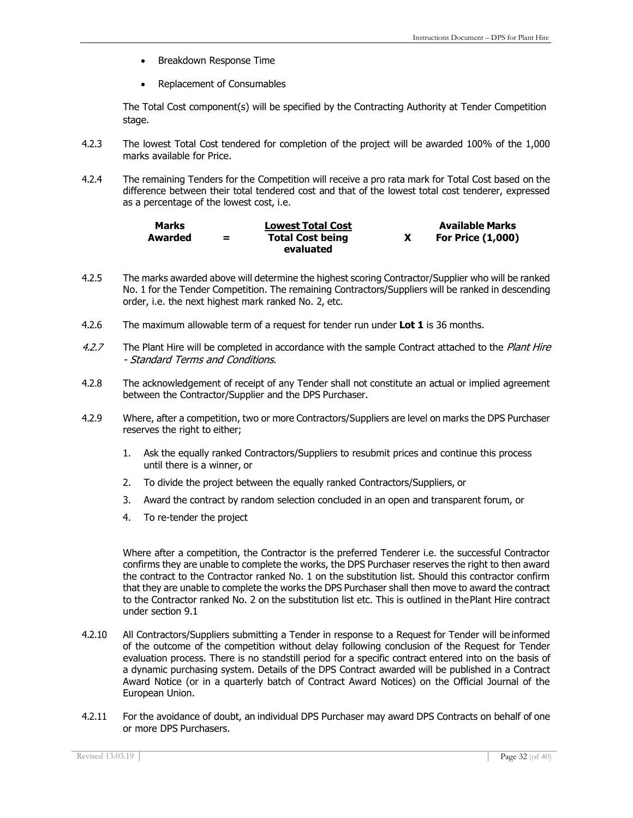- Breakdown Response Time
- Replacement of Consumables

The Total Cost component(s) will be specified by the Contracting Authority at Tender Competition stage.

- 4.2.3 The lowest Total Cost tendered for completion of the project will be awarded 100% of the 1,000 marks available for Price.
- 4.2.4 The remaining Tenders for the Competition will receive a pro rata mark for Total Cost based on the difference between their total tendered cost and that of the lowest total cost tenderer, expressed as a percentage of the lowest cost, i.e.

| <b>Marks</b> |   | <b>Lowest Total Cost</b> | <b>Available Marks</b>   |
|--------------|---|--------------------------|--------------------------|
| Awarded      | = | <b>Total Cost being</b>  | <b>For Price (1,000)</b> |
|              |   | evaluated                |                          |

- 4.2.5 The marks awarded above will determine the highest scoring Contractor/Supplier who will be ranked No. 1 for the Tender Competition. The remaining Contractors/Suppliers will be ranked in descending order, i.e. the next highest mark ranked No. 2, etc.
- 4.2.6 The maximum allowable term of a request for tender run under **Lot 1** is 36 months.
- 4.2.7 The Plant Hire will be completed in accordance with the sample Contract attached to the Plant Hire - Standard Terms and Conditions.
- 4.2.8 The acknowledgement of receipt of any Tender shall not constitute an actual or implied agreement between the Contractor/Supplier and the DPS Purchaser.
- 4.2.9 Where, after a competition, two or more Contractors/Suppliers are level on marks the DPS Purchaser reserves the right to either;
	- 1. Ask the equally ranked Contractors/Suppliers to resubmit prices and continue this process until there is a winner, or
	- 2. To divide the project between the equally ranked Contractors/Suppliers, or
	- 3. Award the contract by random selection concluded in an open and transparent forum, or
	- 4. To re-tender the project

Where after a competition, the Contractor is the preferred Tenderer i.e. the successful Contractor confirms they are unable to complete the works, the DPS Purchaser reserves the right to then award the contract to the Contractor ranked No. 1 on the substitution list. Should this contractor confirm that they are unable to complete the works the DPS Purchaser shall then move to award the contract to the Contractor ranked No. 2 on the substitution list etc. This is outlined in thePlant Hire contract under section 9.1

- 4.2.10 All Contractors/Suppliers submitting a Tender in response to a Request for Tender will be informed of the outcome of the competition without delay following conclusion of the Request for Tender evaluation process. There is no standstill period for a specific contract entered into on the basis of a dynamic purchasing system. Details of the DPS Contract awarded will be published in a Contract Award Notice (or in a quarterly batch of Contract Award Notices) on the Official Journal of the European Union.
- 4.2.11 For the avoidance of doubt, an individual DPS Purchaser may award DPS Contracts on behalf of one or more DPS Purchasers.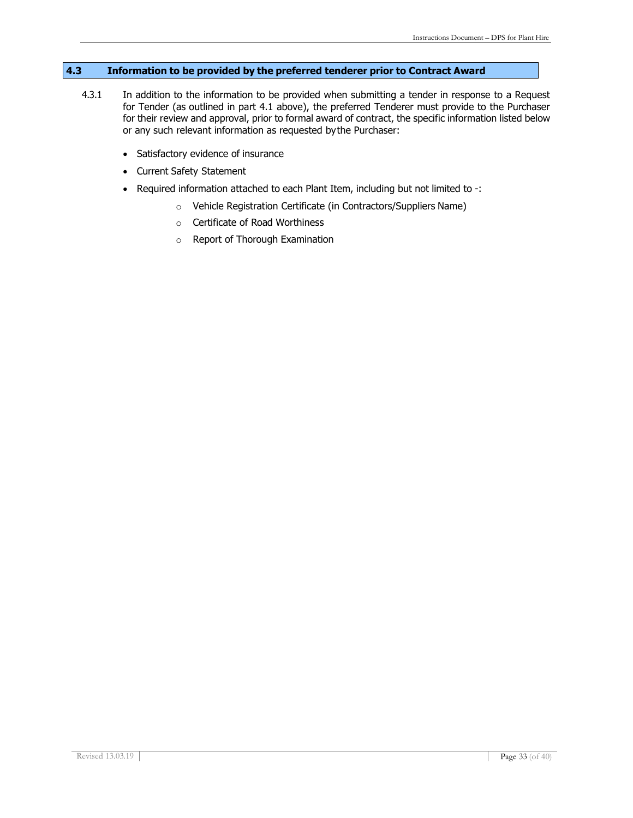### **4.3 Information to be provided by the preferred tenderer prior to Contract Award**

- 4.3.1 In addition to the information to be provided when submitting a tender in response to a Request for Tender (as outlined in part 4.1 above), the preferred Tenderer must provide to the Purchaser for their review and approval, prior to formal award of contract, the specific information listed below or any such relevant information as requested bythe Purchaser:
	- Satisfactory evidence of insurance
	- Current Safety Statement
	- Required information attached to each Plant Item, including but not limited to -:
		- o Vehicle Registration Certificate (in Contractors/Suppliers Name)
		- o Certificate of Road Worthiness
		- o Report of Thorough Examination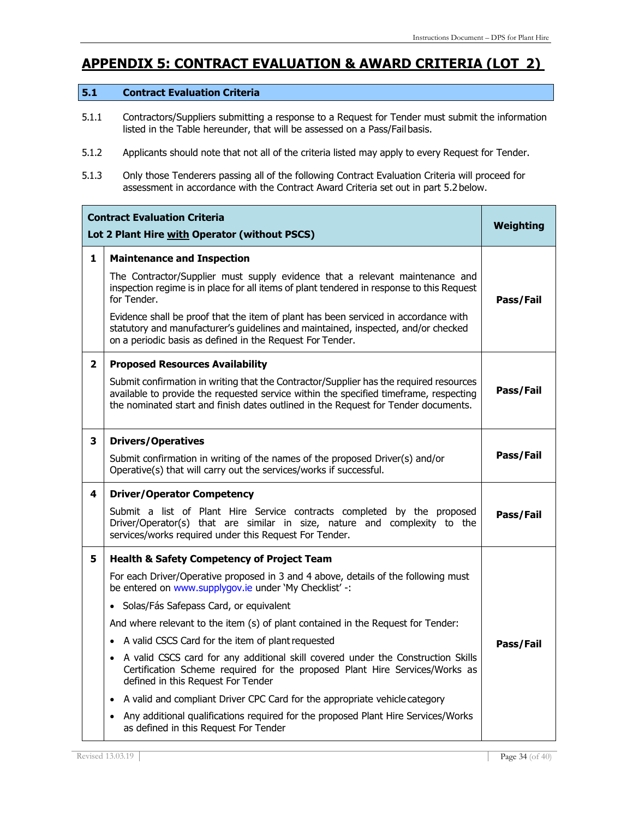### **APPENDIX 5: CONTRACT EVALUATION & AWARD CRITERIA (LOT 2)**

### **5.1 Contract Evaluation Criteria**

- 5.1.1 Contractors/Suppliers submitting a response to a Request for Tender must submit the information listed in the Table hereunder, that will be assessed on a Pass/Failbasis.
- 5.1.2 Applicants should note that not all of the criteria listed may apply to every Request for Tender.
- 5.1.3 Only those Tenderers passing all of the following Contract Evaluation Criteria will proceed for assessment in accordance with the Contract Award Criteria set out in part 5.2below.

|              | <b>Contract Evaluation Criteria</b><br>Lot 2 Plant Hire with Operator (without PSCS)                                                                                                                                                                                                                                                                                                                                                                                                                                                                                                                                                                                                                                                                                                                                                          | Weighting |
|--------------|-----------------------------------------------------------------------------------------------------------------------------------------------------------------------------------------------------------------------------------------------------------------------------------------------------------------------------------------------------------------------------------------------------------------------------------------------------------------------------------------------------------------------------------------------------------------------------------------------------------------------------------------------------------------------------------------------------------------------------------------------------------------------------------------------------------------------------------------------|-----------|
| 1            | <b>Maintenance and Inspection</b><br>The Contractor/Supplier must supply evidence that a relevant maintenance and<br>inspection regime is in place for all items of plant tendered in response to this Request<br>for Tender.<br>Evidence shall be proof that the item of plant has been serviced in accordance with<br>statutory and manufacturer's guidelines and maintained, inspected, and/or checked<br>on a periodic basis as defined in the Request For Tender.                                                                                                                                                                                                                                                                                                                                                                        | Pass/Fail |
| $\mathbf{2}$ | <b>Proposed Resources Availability</b><br>Submit confirmation in writing that the Contractor/Supplier has the required resources<br>available to provide the requested service within the specified timeframe, respecting<br>the nominated start and finish dates outlined in the Request for Tender documents.                                                                                                                                                                                                                                                                                                                                                                                                                                                                                                                               | Pass/Fail |
| 3            | <b>Drivers/Operatives</b><br>Submit confirmation in writing of the names of the proposed Driver(s) and/or<br>Operative(s) that will carry out the services/works if successful.                                                                                                                                                                                                                                                                                                                                                                                                                                                                                                                                                                                                                                                               | Pass/Fail |
| 4            | <b>Driver/Operator Competency</b><br>Submit a list of Plant Hire Service contracts completed by the proposed<br>Driver/Operator(s) that are similar in size, nature and complexity to the<br>services/works required under this Request For Tender.                                                                                                                                                                                                                                                                                                                                                                                                                                                                                                                                                                                           | Pass/Fail |
| 5            | <b>Health &amp; Safety Competency of Project Team</b><br>For each Driver/Operative proposed in 3 and 4 above, details of the following must<br>be entered on www.supplygov.ie under 'My Checklist' -:<br>· Solas/Fás Safepass Card, or equivalent<br>And where relevant to the item (s) of plant contained in the Request for Tender:<br>• A valid CSCS Card for the item of plant requested<br>• A valid CSCS card for any additional skill covered under the Construction Skills<br>Certification Scheme required for the proposed Plant Hire Services/Works as<br>defined in this Request For Tender<br>A valid and compliant Driver CPC Card for the appropriate vehicle category<br>$\bullet$<br>Any additional qualifications required for the proposed Plant Hire Services/Works<br>$\bullet$<br>as defined in this Request For Tender | Pass/Fail |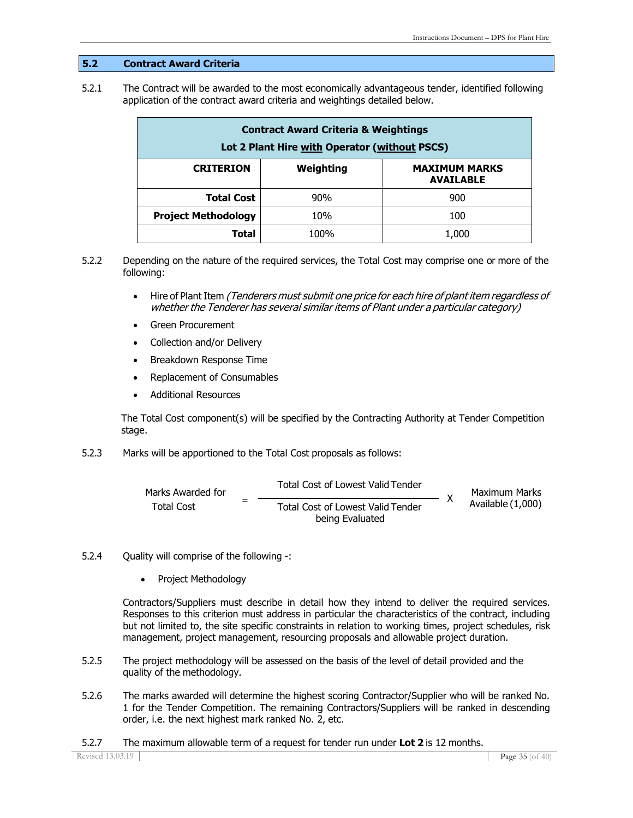#### **5.2 Contract Award Criteria**

5.2.1 The Contract will be awarded to the most economically advantageous tender, identified following application of the contract award criteria and weightings detailed below.

| <b>Contract Award Criteria &amp; Weightings</b><br>Lot 2 Plant Hire with Operator (without PSCS) |           |                                          |  |
|--------------------------------------------------------------------------------------------------|-----------|------------------------------------------|--|
| <b>CRITERION</b>                                                                                 | Weighting | <b>MAXIMUM MARKS</b><br><b>AVAILABLE</b> |  |
| <b>Total Cost</b>                                                                                | 90%       | 900                                      |  |
| <b>Project Methodology</b>                                                                       | 10%       | 100                                      |  |
| Total                                                                                            | 100%      | 1,000                                    |  |

- 5.2.2 Depending on the nature of the required services, the Total Cost may comprise one or more of the following:
	- Hire of Plant Item (Tenderers must submit one price for each hire of plant item regardless of whether the Tenderer has several similar items of Plant under <sup>a</sup> particular category)
	- Green Procurement
	- Collection and/or Delivery
	- Breakdown Response Time
	- Replacement of Consumables
	- Additional Resources

The Total Cost component(s) will be specified by the Contracting Authority at Tender Competition stage.

5.2.3 Marks will be apportioned to the Total Cost proposals as follows:

Marks Awarded for Total Cost <sup>=</sup> Total Cost of Lowest Valid Tender Total Cost of Lowest Valid Tender being Evaluated X Maximum Marks Available (1,000)

- 5.2.4 Quality will comprise of the following -:
	- Project Methodology

Contractors/Suppliers must describe in detail how they intend to deliver the required services. Responses to this criterion must address in particular the characteristics of the contract, including but not limited to, the site specific constraints in relation to working times, project schedules, risk management, project management, resourcing proposals and allowable project duration.

- 5.2.5 The project methodology will be assessed on the basis of the level of detail provided and the quality of the methodology.
- 5.2.6 The marks awarded will determine the highest scoring Contractor/Supplier who will be ranked No. 1 for the Tender Competition. The remaining Contractors/Suppliers will be ranked in descending order, i.e. the next highest mark ranked No. 2, etc.
- 5.2.7 The maximum allowable term of a request for tender run under **Lot 2** is 12 months.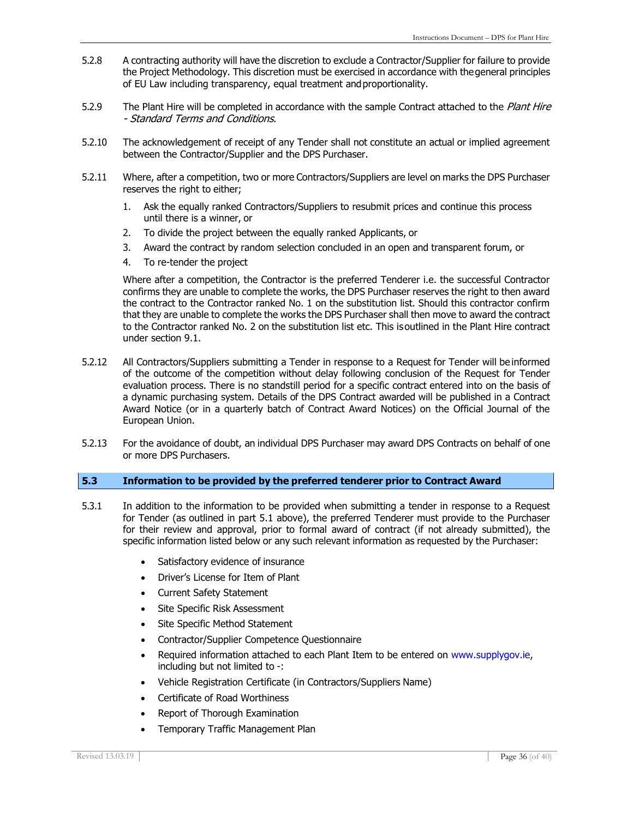- 5.2.8 A contracting authority will have the discretion to exclude a Contractor/Supplier for failure to provide the Project Methodology. This discretion must be exercised in accordance with thegeneral principles of EU Law including transparency, equal treatment andproportionality.
- 5.2.9 The Plant Hire will be completed in accordance with the sample Contract attached to the Plant Hire - Standard Terms and Conditions.
- 5.2.10 The acknowledgement of receipt of any Tender shall not constitute an actual or implied agreement between the Contractor/Supplier and the DPS Purchaser.
- 5.2.11 Where, after a competition, two or more Contractors/Suppliers are level on marks the DPS Purchaser reserves the right to either;
	- 1. Ask the equally ranked Contractors/Suppliers to resubmit prices and continue this process until there is a winner, or
	- 2. To divide the project between the equally ranked Applicants, or
	- 3. Award the contract by random selection concluded in an open and transparent forum, or
	- 4. To re-tender the project

Where after a competition, the Contractor is the preferred Tenderer i.e. the successful Contractor confirms they are unable to complete the works, the DPS Purchaser reserves the right to then award the contract to the Contractor ranked No. 1 on the substitution list. Should this contractor confirm that they are unable to complete the works the DPS Purchaser shall then move to award the contract to the Contractor ranked No. 2 on the substitution list etc. This isoutlined in the Plant Hire contract under section 9.1.

- 5.2.12 All Contractors/Suppliers submitting a Tender in response to a Request for Tender will be informed of the outcome of the competition without delay following conclusion of the Request for Tender evaluation process. There is no standstill period for a specific contract entered into on the basis of a dynamic purchasing system. Details of the DPS Contract awarded will be published in a Contract Award Notice (or in a quarterly batch of Contract Award Notices) on the Official Journal of the European Union.
- 5.2.13 For the avoidance of doubt, an individual DPS Purchaser may award DPS Contracts on behalf of one or more DPS Purchasers.

#### **5.3 Information to be provided by the preferred tenderer prior to Contract Award**

- 5.3.1 In addition to the information to be provided when submitting a tender in response to a Request for Tender (as outlined in part 5.1 above), the preferred Tenderer must provide to the Purchaser for their review and approval, prior to formal award of contract (if not already submitted), the specific information listed below or any such relevant information as requested by the Purchaser:
	- Satisfactory evidence of insurance
	- Driver's License for Item of Plant
	- Current Safety Statement
	- Site Specific Risk Assessment
	- Site Specific Method Statement
	- Contractor/Supplier Competence Questionnaire
	- Required information attached to each Plant Item to be entered on [www.supplygov.ie,](http://www.supplygov.ie/) including but not limited to -:
	- Vehicle Registration Certificate (in Contractors/Suppliers Name)
	- Certificate of Road Worthiness
	- Report of Thorough Examination
	- Temporary Traffic Management Plan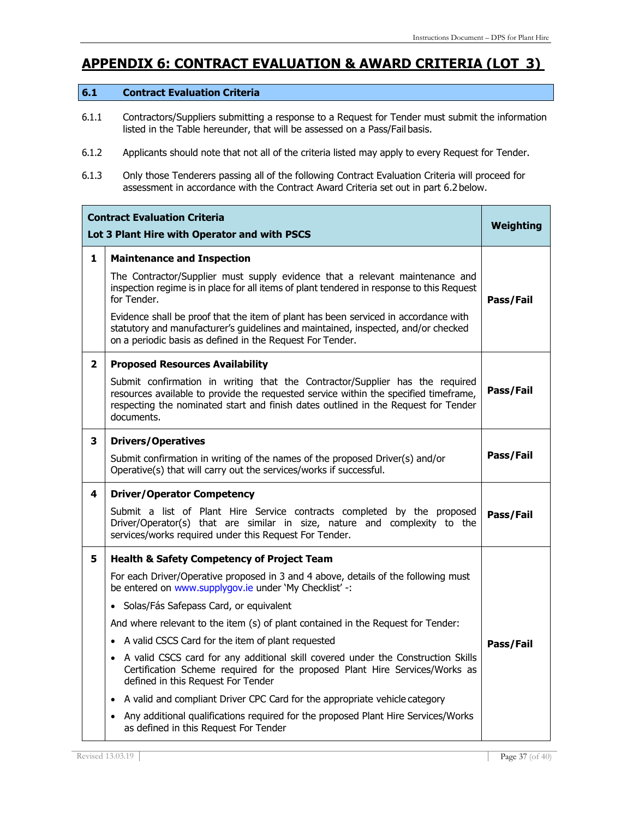### **APPENDIX 6: CONTRACT EVALUATION & AWARD CRITERIA (LOT 3)**

#### **6.1 Contract Evaluation Criteria**

- 6.1.1 Contractors/Suppliers submitting a response to a Request for Tender must submit the information listed in the Table hereunder, that will be assessed on a Pass/Fail basis.
- 6.1.2 Applicants should note that not all of the criteria listed may apply to every Request for Tender.
- 6.1.3 Only those Tenderers passing all of the following Contract Evaluation Criteria will proceed for assessment in accordance with the Contract Award Criteria set out in part 6.2below.

|              | <b>Contract Evaluation Criteria</b><br>Lot 3 Plant Hire with Operator and with PSCS                                                                                                                                                                                      | Weighting |
|--------------|--------------------------------------------------------------------------------------------------------------------------------------------------------------------------------------------------------------------------------------------------------------------------|-----------|
| 1            | <b>Maintenance and Inspection</b>                                                                                                                                                                                                                                        |           |
|              | The Contractor/Supplier must supply evidence that a relevant maintenance and<br>inspection regime is in place for all items of plant tendered in response to this Request<br>for Tender.                                                                                 | Pass/Fail |
|              | Evidence shall be proof that the item of plant has been serviced in accordance with<br>statutory and manufacturer's guidelines and maintained, inspected, and/or checked<br>on a periodic basis as defined in the Request For Tender.                                    |           |
| $\mathbf{2}$ | <b>Proposed Resources Availability</b>                                                                                                                                                                                                                                   |           |
|              | Submit confirmation in writing that the Contractor/Supplier has the required<br>resources available to provide the requested service within the specified timeframe,<br>respecting the nominated start and finish dates outlined in the Request for Tender<br>documents. | Pass/Fail |
| 3            | <b>Drivers/Operatives</b>                                                                                                                                                                                                                                                |           |
|              | Submit confirmation in writing of the names of the proposed Driver(s) and/or<br>Operative(s) that will carry out the services/works if successful.                                                                                                                       | Pass/Fail |
| 4            | <b>Driver/Operator Competency</b>                                                                                                                                                                                                                                        |           |
|              | Submit a list of Plant Hire Service contracts completed by the proposed<br>Driver/Operator(s) that are similar in size, nature and complexity to the<br>services/works required under this Request For Tender.                                                           | Pass/Fail |
| 5            | <b>Health &amp; Safety Competency of Project Team</b>                                                                                                                                                                                                                    |           |
|              | For each Driver/Operative proposed in 3 and 4 above, details of the following must<br>be entered on www.supplygov.ie under 'My Checklist' -:                                                                                                                             |           |
|              | · Solas/Fás Safepass Card, or equivalent                                                                                                                                                                                                                                 |           |
|              | And where relevant to the item (s) of plant contained in the Request for Tender:                                                                                                                                                                                         |           |
|              | A valid CSCS Card for the item of plant requested                                                                                                                                                                                                                        | Pass/Fail |
|              | • A valid CSCS card for any additional skill covered under the Construction Skills<br>Certification Scheme required for the proposed Plant Hire Services/Works as<br>defined in this Request For Tender                                                                  |           |
|              | A valid and compliant Driver CPC Card for the appropriate vehicle category<br>$\bullet$                                                                                                                                                                                  |           |
|              | Any additional qualifications required for the proposed Plant Hire Services/Works<br>$\bullet$<br>as defined in this Request For Tender                                                                                                                                  |           |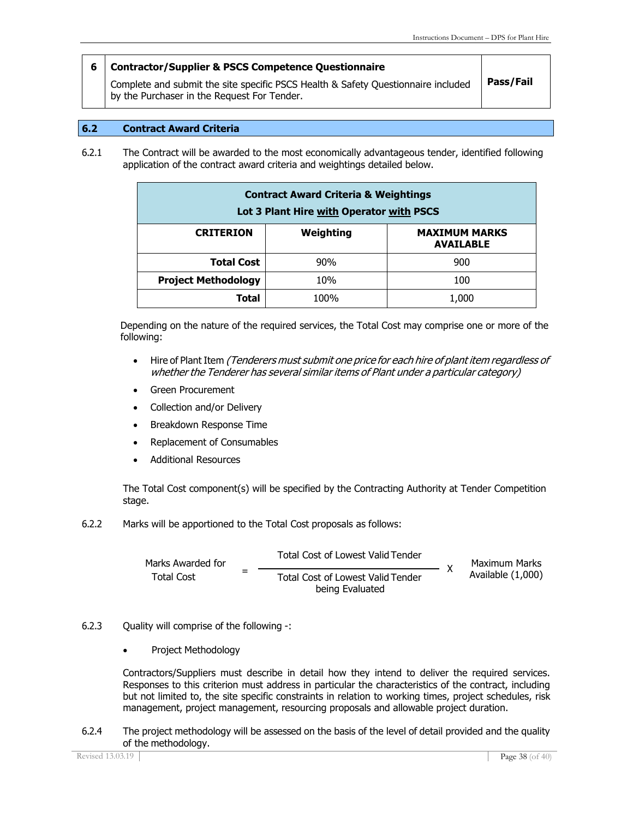#### **6 Contractor/Supplier & PSCS Competence Questionnaire**

Complete and submit the site specific PSCS Health & Safety Questionnaire included by the Purchaser in the Request For Tender.

### **Pass/Fail**

#### **6.2 Contract Award Criteria**

6.2.1 The Contract will be awarded to the most economically advantageous tender, identified following application of the contract award criteria and weightings detailed below.

| <b>Contract Award Criteria &amp; Weightings</b><br>Lot 3 Plant Hire with Operator with PSCS |      |       |
|---------------------------------------------------------------------------------------------|------|-------|
| Weighting<br><b>MAXIMUM MARKS</b><br><b>CRITERION</b><br><b>AVAILABLE</b>                   |      |       |
| <b>Total Cost</b>                                                                           | 90%  | 900   |
| <b>Project Methodology</b>                                                                  | 10%  | 100   |
| Total                                                                                       | 100% | 1,000 |

Depending on the nature of the required services, the Total Cost may comprise one or more of the following:

- Hire of Plant Item (Tenderers must submit one price for each hire of plant item regardless of whether the Tenderer has several similar items of Plant under <sup>a</sup> particular category)
- Green Procurement
- Collection and/or Delivery
- Breakdown Response Time
- Replacement of Consumables
- Additional Resources

The Total Cost component(s) will be specified by the Contracting Authority at Tender Competition stage.

6.2.2 Marks will be apportioned to the Total Cost proposals as follows:

Marks Awarded for Total Cost <sup>=</sup> Total Cost of Lowest Valid Tender Total Cost of Lowest Valid Tender being Evaluated Maximum Marks Available (1,000) X

#### 6.2.3 Quality will comprise of the following -:

• Project Methodology

Contractors/Suppliers must describe in detail how they intend to deliver the required services. Responses to this criterion must address in particular the characteristics of the contract, including but not limited to, the site specific constraints in relation to working times, project schedules, risk management, project management, resourcing proposals and allowable project duration.

6.2.4 The project methodology will be assessed on the basis of the level of detail provided and the quality of the methodology.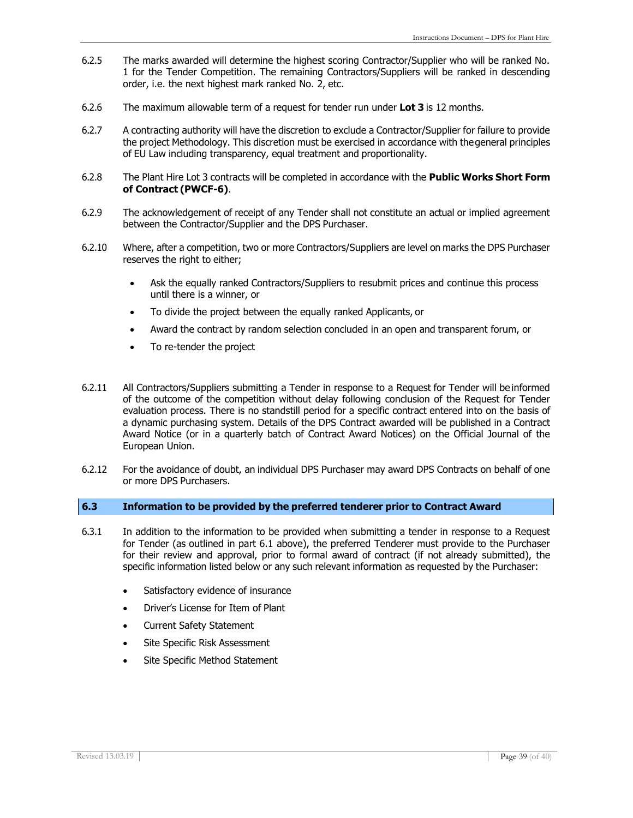- 6.2.5 The marks awarded will determine the highest scoring Contractor/Supplier who will be ranked No. 1 for the Tender Competition. The remaining Contractors/Suppliers will be ranked in descending order, i.e. the next highest mark ranked No. 2, etc.
- 6.2.6 The maximum allowable term of a request for tender run under **Lot 3** is 12 months.
- 6.2.7 A contracting authority will have the discretion to exclude a Contractor/Supplier for failure to provide the project Methodology. This discretion must be exercised in accordance with thegeneral principles of EU Law including transparency, equal treatment and proportionality.
- 6.2.8 The Plant Hire Lot 3 contracts will be completed in accordance with the **Public Works Short Form of Contract (PWCF-6)**.
- 6.2.9 The acknowledgement of receipt of any Tender shall not constitute an actual or implied agreement between the Contractor/Supplier and the DPS Purchaser.
- 6.2.10 Where, after a competition, two or more Contractors/Suppliers are level on marks the DPS Purchaser reserves the right to either;
	- Ask the equally ranked Contractors/Suppliers to resubmit prices and continue this process until there is a winner, or
	- To divide the project between the equally ranked Applicants, or
	- Award the contract by random selection concluded in an open and transparent forum, or
	- To re-tender the project
- 6.2.11 All Contractors/Suppliers submitting a Tender in response to a Request for Tender will be informed of the outcome of the competition without delay following conclusion of the Request for Tender evaluation process. There is no standstill period for a specific contract entered into on the basis of a dynamic purchasing system. Details of the DPS Contract awarded will be published in a Contract Award Notice (or in a quarterly batch of Contract Award Notices) on the Official Journal of the European Union.
- 6.2.12 For the avoidance of doubt, an individual DPS Purchaser may award DPS Contracts on behalf of one or more DPS Purchasers.

#### **6.3 Information to be provided by the preferred tenderer prior to Contract Award**

- 6.3.1 In addition to the information to be provided when submitting a tender in response to a Request for Tender (as outlined in part 6.1 above), the preferred Tenderer must provide to the Purchaser for their review and approval, prior to formal award of contract (if not already submitted), the specific information listed below or any such relevant information as requested by the Purchaser:
	- Satisfactory evidence of insurance
	- Driver's License for Item of Plant
	- **Current Safety Statement**
	- Site Specific Risk Assessment
	- Site Specific Method Statement